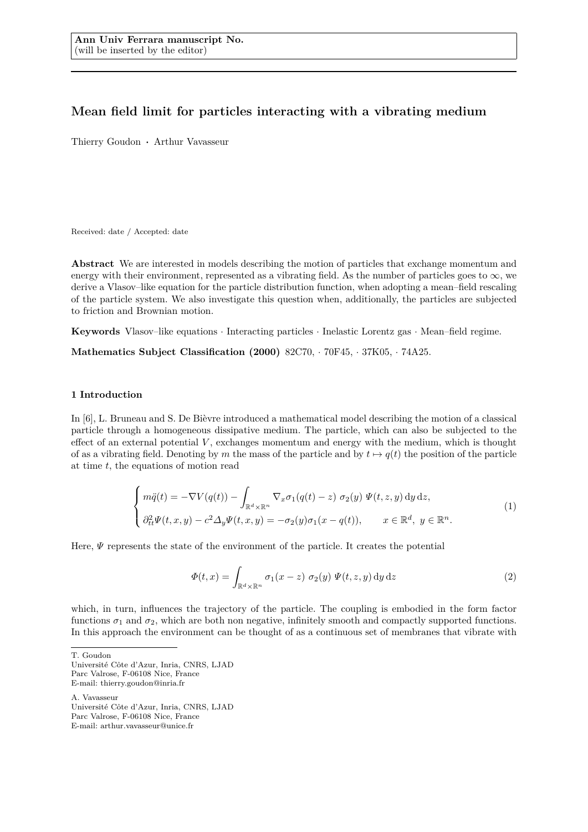# **Mean field limit for particles interacting with a vibrating medium**

Thierry Goudon **·** Arthur Vavasseur

Received: date / Accepted: date

**Abstract** We are interested in models describing the motion of particles that exchange momentum and energy with their environment, represented as a vibrating field. As the number of particles goes to  $\infty$ , we derive a Vlasov–like equation for the particle distribution function, when adopting a mean–field rescaling of the particle system. We also investigate this question when, additionally, the particles are subjected to friction and Brownian motion.

**Keywords** Vlasov–like equations · Interacting particles · Inelastic Lorentz gas · Mean–field regime.

**Mathematics Subject Classification (2000)** 82C70, · 70F45, · 37K05, · 74A25.

# **1 Introduction**

In [6], L. Bruneau and S. De Bièvre introduced a mathematical model describing the motion of a classical particle through a homogeneous dissipative medium. The particle, which can also be subjected to the effect of an external potential  $V$ , exchanges momentum and energy with the medium, which is thought of as a vibrating field. Denoting by *m* the mass of the particle and by  $t \mapsto q(t)$  the position of the particle at time *t*, the equations of motion read

$$
\begin{cases}\n m\ddot{q}(t) = -\nabla V(q(t)) - \int_{\mathbb{R}^d \times \mathbb{R}^n} \nabla_x \sigma_1(q(t) - z) \ \sigma_2(y) \ \Psi(t, z, y) \, dy \, dz, \\
 \partial_{tt}^2 \Psi(t, x, y) - c^2 \Delta_y \Psi(t, x, y) = -\sigma_2(y)\sigma_1(x - q(t)), \qquad x \in \mathbb{R}^d, \ y \in \mathbb{R}^n.\n\end{cases} \tag{1}
$$

Here, *Ψ* represents the state of the environment of the particle. It creates the potential

$$
\Phi(t,x) = \int_{\mathbb{R}^d \times \mathbb{R}^n} \sigma_1(x-z) \sigma_2(y) \Psi(t,z,y) \, dy \, dz \tag{2}
$$

which, in turn, influences the trajectory of the particle. The coupling is embodied in the form factor functions  $\sigma_1$  and  $\sigma_2$ , which are both non negative, infinitely smooth and compactly supported functions. In this approach the environment can be thought of as a continuous set of membranes that vibrate with

T. Goudon

A. Vavasseur Université Côte d'Azur, Inria, CNRS, LJAD Parc Valrose, F-06108 Nice, France

E-mail: arthur.vavasseur@unice.fr

Université Côte d'Azur, Inria, CNRS, LJAD Parc Valrose, F-06108 Nice, France E-mail: thierry.goudon@inria.fr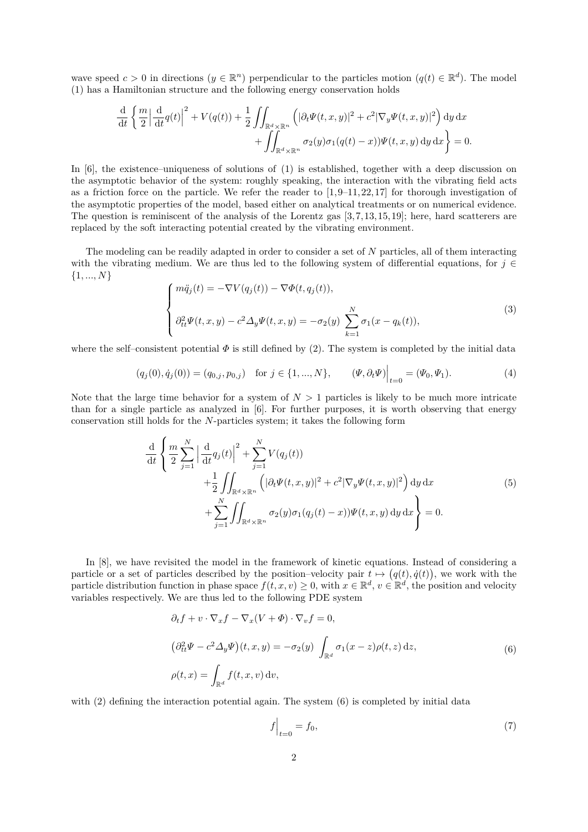wave speed  $c > 0$  in directions  $(y \in \mathbb{R}^n)$  perpendicular to the particles motion  $(q(t) \in \mathbb{R}^d)$ . The model (1) has a Hamiltonian structure and the following energy conservation holds

$$
\frac{\mathrm{d}}{\mathrm{d}t} \left\{ \frac{m}{2} \left| \frac{\mathrm{d}}{\mathrm{d}t} q(t) \right|^2 + V(q(t)) + \frac{1}{2} \iint_{\mathbb{R}^d \times \mathbb{R}^n} \left( |\partial_t \Psi(t, x, y)|^2 + c^2 |\nabla_y \Psi(t, x, y)|^2 \right) \mathrm{d}y \, \mathrm{d}x + \iint_{\mathbb{R}^d \times \mathbb{R}^n} \sigma_2(y) \sigma_1(q(t) - x) \Psi(t, x, y) \, \mathrm{d}y \, \mathrm{d}x \right\} = 0.
$$

In [6], the existence–uniqueness of solutions of (1) is established, together with a deep discussion on the asymptotic behavior of the system: roughly speaking, the interaction with the vibrating field acts as a friction force on the particle. We refer the reader to  $[1, 9-11, 22, 17]$  for thorough investigation of the asymptotic properties of the model, based either on analytical treatments or on numerical evidence. The question is reminiscent of the analysis of the Lorentz gas  $[3, 7, 13, 15, 19]$ ; here, hard scatterers are replaced by the soft interacting potential created by the vibrating environment.

The modeling can be readily adapted in order to consider a set of *N* particles, all of them interacting with the vibrating medium. We are thus led to the following system of differential equations, for  $j \in$ {1*, ..., N*}

$$
\begin{cases}\nm\ddot{q}_j(t) = -\nabla V(q_j(t)) - \nabla \Phi(t, q_j(t)), \\
\partial_{tt}^2 \Psi(t, x, y) - c^2 \Delta_y \Psi(t, x, y) = -\sigma_2(y) \sum_{k=1}^N \sigma_1(x - q_k(t)),\n\end{cases}
$$
\n(3)

where the self–consistent potential  $\Phi$  is still defined by (2). The system is completed by the initial data

$$
(q_j(0), \dot{q}_j(0)) = (q_{0,j}, p_{0,j}) \text{ for } j \in \{1, ..., N\}, \qquad (\Psi, \partial_t \Psi)\Big|_{t=0} = (\Psi_0, \Psi_1). \tag{4}
$$

Note that the large time behavior for a system of  $N > 1$  particles is likely to be much more intricate than for a single particle as analyzed in [6]. For further purposes, it is worth observing that energy conservation still holds for the *N*-particles system; it takes the following form

$$
\frac{\mathrm{d}}{\mathrm{d}t} \left\{ \frac{m}{2} \sum_{j=1}^{N} \left| \frac{\mathrm{d}}{\mathrm{d}t} q_j(t) \right|^2 + \sum_{j=1}^{N} V(q_j(t)) + \frac{1}{2} \iint_{\mathbb{R}^d \times \mathbb{R}^n} \left( |\partial_t \Psi(t, x, y)|^2 + c^2 |\nabla_y \Psi(t, x, y)|^2 \right) \mathrm{d}y \, \mathrm{d}x + \sum_{j=1}^{N} \iint_{\mathbb{R}^d \times \mathbb{R}^n} \sigma_2(y) \sigma_1(q_j(t) - x) \Psi(t, x, y) \mathrm{d}y \, \mathrm{d}x \right\} = 0.
$$
\n(5)

In [8], we have revisited the model in the framework of kinetic equations. Instead of considering a particle or a set of particles described by the position–velocity pair  $t \mapsto (q(t), \dot{q}(t))$ , we work with the particle distribution function in phase space  $f(t, x, v) \geq 0$ , with  $x \in \mathbb{R}^d$ ,  $v \in \mathbb{R}^d$ , the position and velocity variables respectively. We are thus led to the following PDE system

$$
\partial_t f + v \cdot \nabla_x f - \nabla_x (V + \Phi) \cdot \nabla_v f = 0,
$$
  
\n
$$
(\partial_{tt}^2 \Psi - c^2 \Delta_y \Psi)(t, x, y) = -\sigma_2(y) \int_{\mathbb{R}^d} \sigma_1(x - z) \rho(t, z) dz,
$$
  
\n
$$
\rho(t, x) = \int_{\mathbb{R}^d} f(t, x, v) dv,
$$
\n(6)

with (2) defining the interaction potential again. The system (6) is completed by initial data

$$
f\Big|_{t=0} = f_0,\tag{7}
$$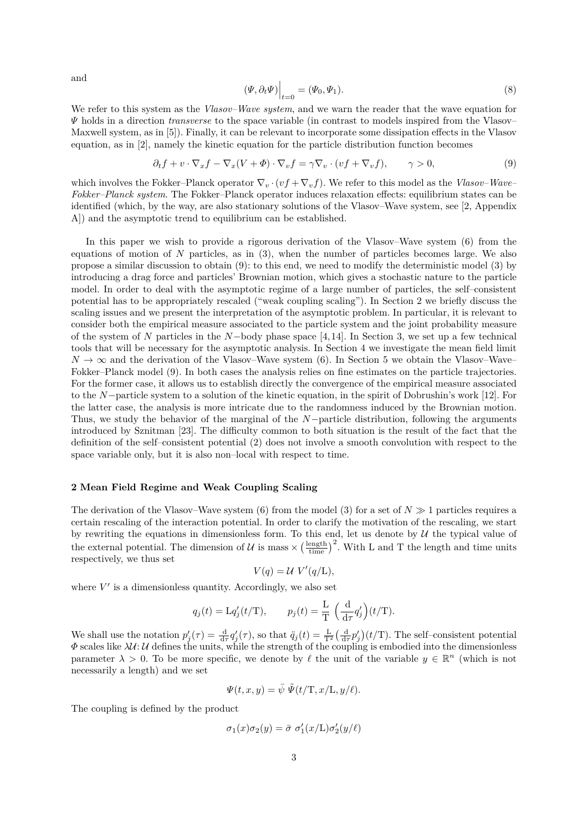and

$$
(\Psi, \partial_t \Psi)\Big|_{t=0} = (\Psi_0, \Psi_1). \tag{8}
$$

We refer to this system as the *Vlasov–Wave system*, and we warn the reader that the wave equation for *Ψ* holds in a direction *transverse* to the space variable (in contrast to models inspired from the Vlasov– Maxwell system, as in [5]). Finally, it can be relevant to incorporate some dissipation effects in the Vlasov equation, as in [2], namely the kinetic equation for the particle distribution function becomes

$$
\partial_t f + v \cdot \nabla_x f - \nabla_x (V + \Phi) \cdot \nabla_v f = \gamma \nabla_v \cdot (vf + \nabla_v f), \qquad \gamma > 0,
$$
\n(9)

which involves the Fokker–Planck operator  $\nabla_{v} \cdot (vf + \nabla_{v} f)$ . We refer to this model as the *Vlasov–Wave– Fokker–Planck system*. The Fokker–Planck operator induces relaxation effects: equilibrium states can be identified (which, by the way, are also stationary solutions of the Vlasov–Wave system, see [2, Appendix A]) and the asymptotic trend to equilibrium can be established.

In this paper we wish to provide a rigorous derivation of the Vlasov–Wave system (6) from the equations of motion of *N* particles, as in (3), when the number of particles becomes large. We also propose a similar discussion to obtain (9): to this end, we need to modify the deterministic model (3) by introducing a drag force and particles' Brownian motion, which gives a stochastic nature to the particle model. In order to deal with the asymptotic regime of a large number of particles, the self–consistent potential has to be appropriately rescaled ("weak coupling scaling"). In Section 2 we briefly discuss the scaling issues and we present the interpretation of the asymptotic problem. In particular, it is relevant to consider both the empirical measure associated to the particle system and the joint probability measure of the system of *N* particles in the *N*−body phase space [4, 14]. In Section 3, we set up a few technical tools that will be necessary for the asymptotic analysis. In Section 4 we investigate the mean field limit  $N \to \infty$  and the derivation of the Vlasov–Wave system (6). In Section 5 we obtain the Vlasov–Wave– Fokker–Planck model (9). In both cases the analysis relies on fine estimates on the particle trajectories. For the former case, it allows us to establish directly the convergence of the empirical measure associated to the *N*−particle system to a solution of the kinetic equation, in the spirit of Dobrushin's work [12]. For the latter case, the analysis is more intricate due to the randomness induced by the Brownian motion. Thus, we study the behavior of the marginal of the *N*−particle distribution, following the arguments introduced by Sznitman [23]. The difficulty common to both situation is the result of the fact that the definition of the self–consistent potential (2) does not involve a smooth convolution with respect to the space variable only, but it is also non–local with respect to time.

# **2 Mean Field Regime and Weak Coupling Scaling**

The derivation of the Vlasov–Wave system (6) from the model (3) for a set of  $N \geq 1$  particles requires a certain rescaling of the interaction potential. In order to clarify the motivation of the rescaling, we start by rewriting the equations in dimensionless form. To this end, let us denote by  $U$  the typical value of the external potential. The dimension of U is mass  $\times \left(\frac{\text{length}}{\text{time}}\right)^2$ . With L and T the length and time units respectively, we thus set

$$
V(q) = \mathcal{U} V'(q/\mathcal{L}),
$$

where  $V'$  is a dimensionless quantity. Accordingly, we also set

$$
q_j(t) = \mathcal{L}q'_j(t/T),
$$
  $p_j(t) = \frac{\mathcal{L}}{\mathcal{T}} \left(\frac{\mathrm{d}}{\mathrm{d}\tau}q'_j\right)(t/T).$ 

We shall use the notation  $p'_j(\tau) = \frac{d}{d\tau} q'_j(\tau)$ , so that  $\ddot{q}_j(t) = \frac{L}{T^2} \left(\frac{d}{d\tau} p'_j\right) (t/T)$ . The self-consistent potential  $\Phi$  scales like  $\lambda U: U$  defines the units, while the strength of the coupling is embodied into the dimensionless parameter  $\lambda > 0$ . To be more specific, we denote by  $\ell$  the unit of the variable  $y \in \mathbb{R}^n$  (which is not necessarily a length) and we set

$$
\Psi(t, x, y) = \bar{\psi} \ \tilde{\Psi}(t/\mathrm{T}, x/\mathrm{L}, y/\ell).
$$

The coupling is defined by the product

$$
\sigma_1(x)\sigma_2(y) = \bar{\sigma} \sigma_1'(x/\mathcal{L})\sigma_2'(y/\ell)
$$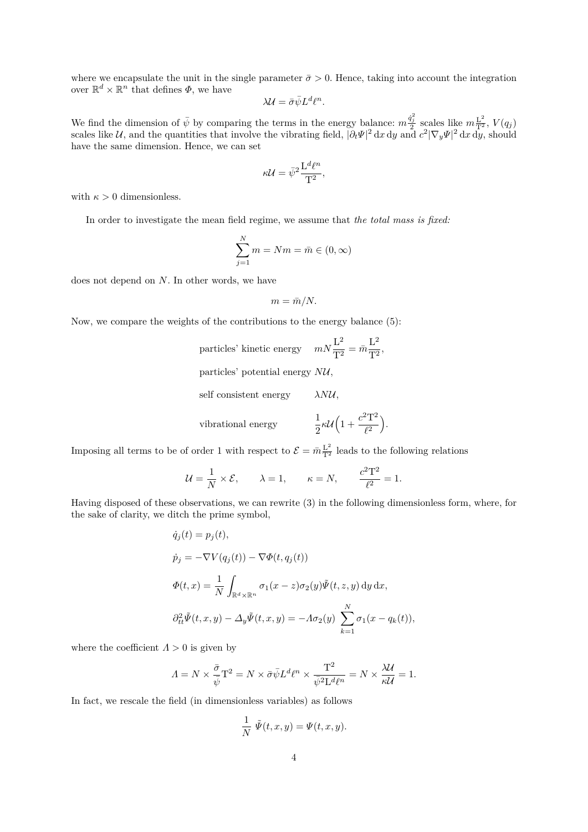where we encapsulate the unit in the single parameter  $\bar{\sigma} > 0$ . Hence, taking into account the integration over  $\mathbb{R}^d \times \mathbb{R}^n$  that defines  $\Phi$ , we have

$$
\lambda \mathcal{U} = \bar{\sigma} \bar{\psi} L^d \ell^n.
$$

We find the dimension of  $\bar{\psi}$  by comparing the terms in the energy balance:  $m \frac{\dot{q}_j^2}{2}$  scales like  $m \frac{L^2}{T^2}$ ,  $V(q_j)$ scales like U, and the quantities that involve the vibrating field,  $|\partial_t \Psi|^2 dx dy$  and  $c^2 |\nabla_y \Psi|^2 dx dy$ , should have the same dimension. Hence, we can set

$$
\kappa \mathcal{U} = \bar{\psi}^2 \frac{\mathcal{L}^d \ell^n}{\mathcal{T}^2},
$$

with  $\kappa > 0$  dimensionless.

In order to investigate the mean field regime, we assume that *the total mass is fixed:*

$$
\sum_{j=1}^{N} m = Nm = \bar{m} \in (0, \infty)
$$

does not depend on *N*. In other words, we have

$$
m = \bar{m}/N.
$$

Now, we compare the weights of the contributions to the energy balance (5):

particles' kinetic energy  $mN\frac{L^2}{\sqrt{2}}$  $rac{L^2}{T^2} = \bar{m} \frac{L^2}{T^2}$  $\frac{1}{T^2}$ 

particles' potential energy *N*U*,*

self consistent energy *λN*U*,*

vibrational energy 
$$
\frac{1}{2} \kappa \mathcal{U} \left( 1 + \frac{c^2 T^2}{\ell^2} \right)
$$
.

Imposing all terms to be of order 1 with respect to  $\mathcal{E} = \bar{m} \frac{L^2}{T^2}$  leads to the following relations

$$
\mathcal{U} = \frac{1}{N} \times \mathcal{E}, \qquad \lambda = 1, \qquad \kappa = N, \qquad \frac{c^2 \mathbf{T}^2}{\ell^2} = 1.
$$

Having disposed of these observations, we can rewrite (3) in the following dimensionless form, where, for the sake of clarity, we ditch the prime symbol,

$$
\dot{q}_j(t) = p_j(t),
$$
  
\n
$$
\dot{p}_j = -\nabla V(q_j(t)) - \nabla \Phi(t, q_j(t))
$$
  
\n
$$
\Phi(t, x) = \frac{1}{N} \int_{\mathbb{R}^d \times \mathbb{R}^n} \sigma_1(x - z) \sigma_2(y) \tilde{\Psi}(t, z, y) dy dx,
$$
  
\n
$$
\partial_{tt}^2 \tilde{\Psi}(t, x, y) - \Delta_y \tilde{\Psi}(t, x, y) = -\Lambda \sigma_2(y) \sum_{k=1}^N \sigma_1(x - q_k(t)),
$$

where the coefficient  $\Lambda > 0$  is given by

$$
\varLambda = N \times \frac{\bar{\sigma}}{\bar{\psi}}\mathbf{T}^2 = N \times \bar{\sigma} \bar{\psi} L^d \ell^n \times \frac{\mathbf{T}^2}{\bar{\psi}^2 \mathbf{L}^d \ell^n} = N \times \frac{\lambda \mathcal{U}}{\kappa \mathcal{U}} = 1.
$$

In fact, we rescale the field (in dimensionless variables) as follows

$$
\frac{1}{N} \tilde{\Psi}(t, x, y) = \Psi(t, x, y).
$$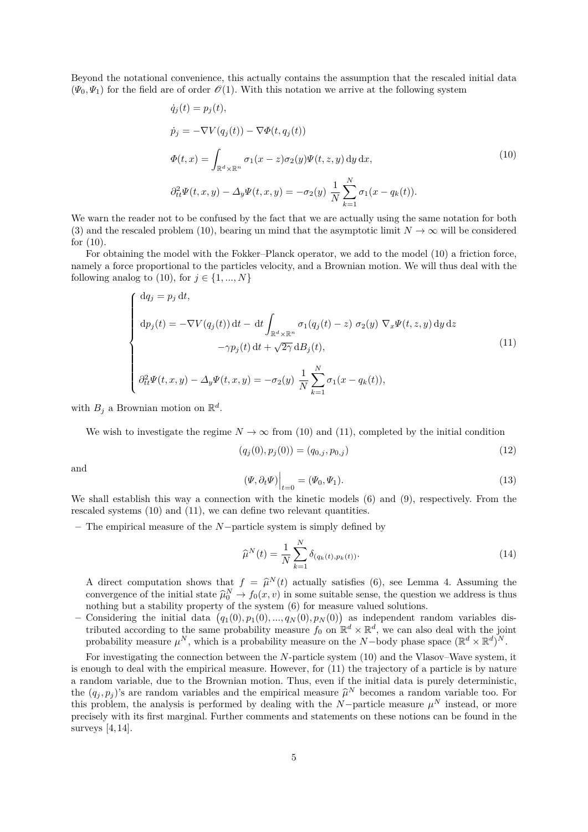Beyond the notational convenience, this actually contains the assumption that the rescaled initial data  $(\Psi_0, \Psi_1)$  for the field are of order  $\mathcal{O}(1)$ . With this notation we arrive at the following system

$$
\dot{q}_j(t) = p_j(t),
$$
\n
$$
\dot{p}_j = -\nabla V(q_j(t)) - \nabla \Phi(t, q_j(t))
$$
\n
$$
\Phi(t, x) = \int_{\mathbb{R}^d \times \mathbb{R}^n} \sigma_1(x - z) \sigma_2(y) \Psi(t, z, y) \, dy \, dx,
$$
\n
$$
\partial_{tt}^2 \Psi(t, x, y) - \Delta_y \Psi(t, x, y) = -\sigma_2(y) \frac{1}{N} \sum_{k=1}^N \sigma_1(x - q_k(t)).
$$
\n(10)

We warn the reader not to be confused by the fact that we are actually using the same notation for both (3) and the rescaled problem (10), bearing un mind that the asymptotic limit  $N \to \infty$  will be considered for (10).

For obtaining the model with the Fokker–Planck operator, we add to the model (10) a friction force, namely a force proportional to the particles velocity, and a Brownian motion. We will thus deal with the following analog to (10), for  $j \in \{1, ..., N\}$ 

$$
\begin{cases}\ndq_j = p_j dt, \\
dp_j(t) = -\nabla V(q_j(t)) dt - dt \int_{\mathbb{R}^d \times \mathbb{R}^n} \sigma_1(q_j(t) - z) \sigma_2(y) \nabla_x \Psi(t, z, y) dy dz \\
-\gamma p_j(t) dt + \sqrt{2\gamma} dB_j(t), \\
\partial_{tt}^2 \Psi(t, x, y) - \Delta_y \Psi(t, x, y) = -\sigma_2(y) \frac{1}{N} \sum_{k=1}^N \sigma_1(x - q_k(t)),\n\end{cases}
$$
\n(11)

with  $B_j$  a Brownian motion on  $\mathbb{R}^d$ .

We wish to investigate the regime  $N \to \infty$  from (10) and (11), completed by the initial condition

$$
(q_j(0), p_j(0)) = (q_{0,j}, p_{0,j})
$$
\n(12)

and

$$
(\Psi, \partial_t \Psi)\Big|_{t=0} = (\Psi_0, \Psi_1). \tag{13}
$$

We shall establish this way a connection with the kinetic models (6) and (9), respectively. From the rescaled systems (10) and (11), we can define two relevant quantities.

**–** The empirical measure of the *N*−particle system is simply defined by

$$
\widehat{\mu}^{N}(t) = \frac{1}{N} \sum_{k=1}^{N} \delta_{(q_k(t), p_k(t))}.
$$
\n(14)

A direct computation shows that  $f = \hat{\mu}^N(t)$  actually satisfies (6), see Lemma 4. Assuming the convergence of the initial state  $\hat{\mu}^N$ ,  $f_n(x, y)$  in some suitable sense, the question we address is thus convergence of the initial state  $\hat{\mu}_0^N \to f_0(x, v)$  in some suitable sense, the question we address is thus nothing but a stability property of the system (6) for magnum valued solutions. nothing but a stability property of the system (6) for measure valued solutions.

 $-$  Considering the initial data  $(q_1(0), p_1(0), ..., q_N(0), p_N(0))$  as independent random variables distributed according to the same probability measure  $f_0$  on  $\mathbb{R}^d \times \mathbb{R}^d$ , we can also deal with the joint probability measure  $\mu^N$ , which is a probability measure on the *N*-body phase space  $(\mathbb{R}^d \times \mathbb{R}^d)^N$ .

For investigating the connection between the *N*-particle system (10) and the Vlasov–Wave system, it is enough to deal with the empirical measure. However, for (11) the trajectory of a particle is by nature a random variable, due to the Brownian motion. Thus, even if the initial data is purely deterministic, the  $(q_j, p_j)$ 's are random variables and the empirical measure  $\hat{\mu}^N$  becomes a random variable too. For this problem, the applyistic is performed by dealing with the  $N$ -particle measure  $\mu^N$  instead, or measure this problem, the analysis is performed by dealing with the *N*−particle measure  $\mu^N$  instead, or more precisely with its first marginal. Further comments and statements on these notions can be found in the surveys  $[4, 14]$ .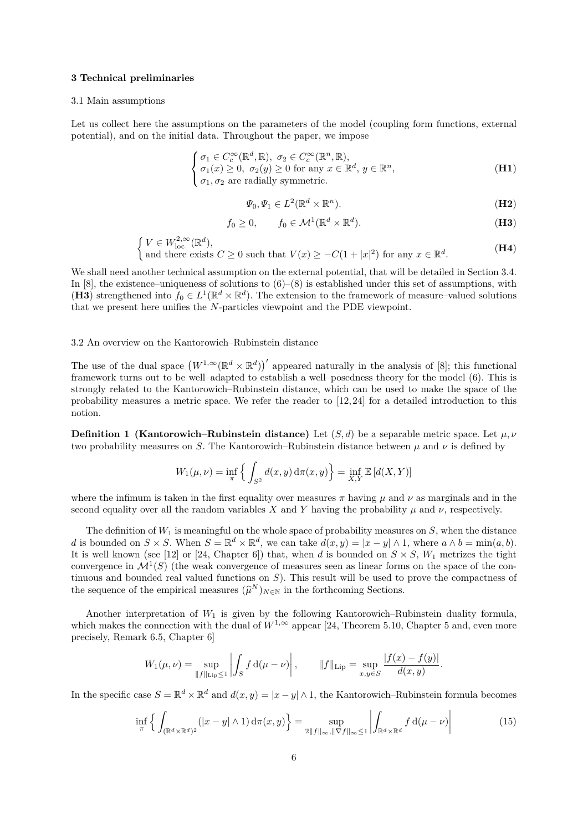### **3 Technical preliminaries**

#### 3.1 Main assumptions

Let us collect here the assumptions on the parameters of the model (coupling form functions, external potential), and on the initial data. Throughout the paper, we impose

$$
\begin{cases}\n\sigma_1 \in C_c^{\infty}(\mathbb{R}^d, \mathbb{R}), \ \sigma_2 \in C_c^{\infty}(\mathbb{R}^n, \mathbb{R}), \\
\sigma_1(x) \ge 0, \ \sigma_2(y) \ge 0 \text{ for any } x \in \mathbb{R}^d, \ y \in \mathbb{R}^n,\n\end{cases} \tag{H1}
$$

 $\sigma_1, \sigma_2$  are radially symmetric.

$$
\Psi_0, \Psi_1 \in L^2(\mathbb{R}^d \times \mathbb{R}^n). \tag{H2}
$$

$$
f_0 \ge 0, \qquad f_0 \in \mathcal{M}^1(\mathbb{R}^d \times \mathbb{R}^d). \tag{H3}
$$

$$
\begin{cases}\nV \in W_{\text{loc}}^{2,\infty}(\mathbb{R}^d), \\
\text{and there exists } C \ge 0 \text{ such that } V(x) \ge -C(1+|x|^2) \text{ for any } x \in \mathbb{R}^d.\n\end{cases} (H4)
$$

We shall need another technical assumption on the external potential, that will be detailed in Section 3.4. In  $[8]$ , the existence–uniqueness of solutions to  $(6)$ – $(8)$  is established under this set of assumptions, with (**H3**) strengthened into  $f_0 \in L^1(\mathbb{R}^d \times \mathbb{R}^d)$ . The extension to the framework of measure–valued solutions that we present here unifies the *N*-particles viewpoint and the PDE viewpoint.

#### 3.2 An overview on the Kantorowich–Rubinstein distance

 $\mathcal{L}$ 

The use of the dual space  $(W^{1,\infty}(\mathbb{R}^d \times \mathbb{R}^d))'$  appeared naturally in the analysis of [8]; this functional framework turns out to be well–adapted to establish a well–posedness theory for the model (6). This is strongly related to the Kantorowich–Rubinstein distance, which can be used to make the space of the probability measures a metric space. We refer the reader to [12, 24] for a detailed introduction to this notion.

**Definition 1 (Kantorowich–Rubinstein distance)** Let  $(S, d)$  be a separable metric space. Let  $\mu, \nu$ two probability measures on *S*. The Kantorowich–Rubinstein distance between  $\mu$  and  $\nu$  is defined by

$$
W_1(\mu, \nu) = \inf_{\pi} \left\{ \int_{S^2} d(x, y) \, d\pi(x, y) \right\} = \inf_{X, Y} \mathbb{E} \left[ d(X, Y) \right]
$$

where the infimum is taken in the first equality over measures  $\pi$  having  $\mu$  and  $\nu$  as marginals and in the second equality over all the random variables X and Y having the probability  $\mu$  and  $\nu$ , respectively.

The definition of  $W_1$  is meaningful on the whole space of probability measures on  $S$ , when the distance *d* is bounded on  $S \times S$ . When  $S = \mathbb{R}^d \times \mathbb{R}^d$ , we can take  $d(x, y) = |x - y| \wedge 1$ , where  $a \wedge b = \min(a, b)$ . It is well known (see [12] or [24, Chapter 6]) that, when *d* is bounded on  $S \times S$ ,  $W_1$  metrizes the tight convergence in  $\mathcal{M}^1(S)$  (the weak convergence of measures seen as linear forms on the space of the continuous and bounded real valued functions on *S*). This result will be used to prove the compactness of the sequence of the empirical measures  $(\widehat{\mu}^N)_{N \in \mathbb{N}}$  in the forthcoming Sections.

Another interpretation of *W*<sup>1</sup> is given by the following Kantorowich–Rubinstein duality formula, which makes the connection with the dual of  $W^{1,\infty}$  appear [24, Theorem 5.10, Chapter 5 and, even more precisely, Remark 6.5, Chapter 6]

$$
W_1(\mu, \nu) = \sup_{\|f\|_{\text{Lip}} \le 1} \left| \int_S f d(\mu - \nu) \right|, \qquad \|f\|_{\text{Lip}} = \sup_{x, y \in S} \frac{|f(x) - f(y)|}{d(x, y)}.
$$

In the specific case  $S = \mathbb{R}^d \times \mathbb{R}^d$  and  $d(x, y) = |x - y| \wedge 1$ , the Kantorowich–Rubinstein formula becomes

$$
\inf_{\pi} \left\{ \int_{(\mathbb{R}^d \times \mathbb{R}^d)^2} (|x - y| \wedge 1) \, d\pi(x, y) \right\} = \sup_{2 \|f\|_{\infty}, \|\nabla f\|_{\infty} \le 1} \left| \int_{\mathbb{R}^d \times \mathbb{R}^d} f \, d(\mu - \nu) \right| \tag{15}
$$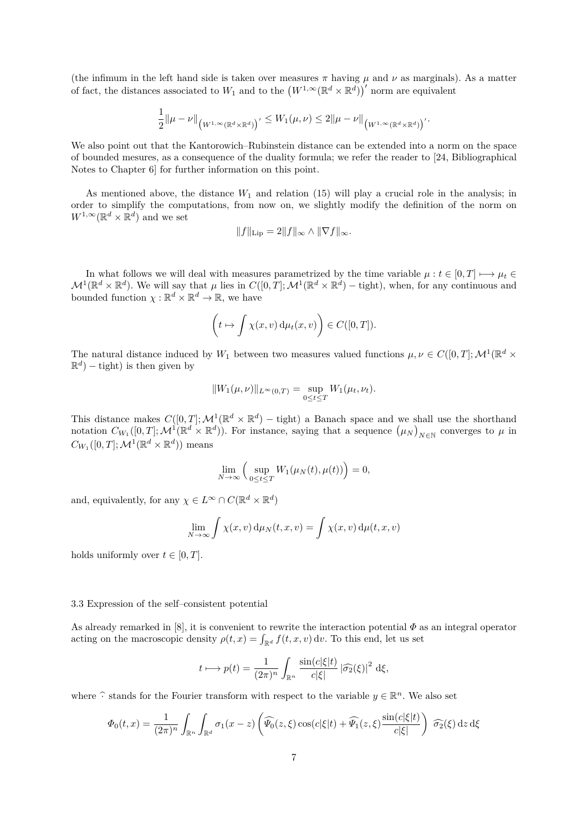(the infimum in the left hand side is taken over measures  $\pi$  having  $\mu$  and  $\nu$  as marginals). As a matter of fact, the distances associated to  $W_1$  and to the  $(W^{1,\infty}(\mathbb{R}^d \times \mathbb{R}^d))'$  norm are equivalent

$$
\frac{1}{2}\|\mu-\nu\|_{\big(W^{1,\infty}(\mathbb{R}^d\times\mathbb{R}^d)\big)'}\leq W_1(\mu,\nu)\leq 2\|\mu-\nu\|_{\big(W^{1,\infty}(\mathbb{R}^d\times\mathbb{R}^d)\big)'}.
$$

We also point out that the Kantorowich–Rubinstein distance can be extended into a norm on the space of bounded mesures, as a consequence of the duality formula; we refer the reader to [24, Bibliographical Notes to Chapter 6] for further information on this point.

As mentioned above, the distance  $W_1$  and relation (15) will play a crucial role in the analysis; in order to simplify the computations, from now on, we slightly modify the definition of the norm on  $W^{1,\infty}(\mathbb{R}^d \times \mathbb{R}^d)$  and we set

$$
||f||_{\text{Lip}} = 2||f||_{\infty} \wedge ||\nabla f||_{\infty}.
$$

In what follows we will deal with measures parametrized by the time variable  $\mu : t \in [0, T] \longmapsto \mu_t \in$  $\mathcal{M}^1(\mathbb{R}^d \times \mathbb{R}^d)$ . We will say that  $\mu$  lies in  $C([0,T]; \mathcal{M}^1(\mathbb{R}^d \times \mathbb{R}^d) - \text{tight})$ , when, for any continuous and bounded function  $\chi : \mathbb{R}^d \times \mathbb{R}^d \to \mathbb{R}$ , we have

$$
\left(t \mapsto \int \chi(x, v) \, \mathrm{d}\mu_t(x, v)\right) \in C([0, T]).
$$

The natural distance induced by  $W_1$  between two measures valued functions  $\mu, \nu \in C([0, T]; \mathcal{M}^1(\mathbb{R}^d \times$  $\mathbb{R}^d$ ) – tight) is then given by

$$
||W_1(\mu, \nu)||_{L^{\infty}(0,T)} = \sup_{0 \le t \le T} W_1(\mu_t, \nu_t).
$$

This distance makes  $C([0,T]; \mathcal{M}^1(\mathbb{R}^d \times \mathbb{R}^d) - \text{tight})$  a Banach space and we shall use the shorthand notation  $C_{W_1}([0,T]; \mathcal{M}^1(\mathbb{R}^d \times \mathbb{R}^d))$ . For instance, saying that a sequence  $(\mu_N)_{N \in \mathbb{N}}$  converges to  $\mu$  in  $C_{W_1}([0,T]; \mathcal{M}^1(\mathbb{R}^d \times \mathbb{R}^d))$  means

$$
\lim_{N \to \infty} \left( \sup_{0 \le t \le T} W_1(\mu_N(t), \mu(t)) \right) = 0,
$$

and, equivalently, for any  $\chi \in L^{\infty} \cap C(\mathbb{R}^{d} \times \mathbb{R}^{d})$ 

$$
\lim_{N \to \infty} \int \chi(x, v) d\mu_N(t, x, v) = \int \chi(x, v) d\mu(t, x, v)
$$

holds uniformly over  $t \in [0, T]$ .

### 3.3 Expression of the self–consistent potential

As already remarked in [8], it is convenient to rewrite the interaction potential *Φ* as an integral operator acting on the macroscopic density  $\rho(t,x) = \int_{\mathbb{R}^d} f(t,x,v) dv$ . To this end, let us set

$$
t \longrightarrow p(t) = \frac{1}{(2\pi)^n} \int_{\mathbb{R}^n} \frac{\sin(c|\xi|t)}{c|\xi|} |\widehat{\sigma_2}(\xi)|^2 d\xi,
$$

where  $\widehat{\cdot}$  stands for the Fourier transform with respect to the variable  $y \in \mathbb{R}^n$ . We also set

$$
\Phi_0(t,x) = \frac{1}{(2\pi)^n} \int_{\mathbb{R}^n} \int_{\mathbb{R}^d} \sigma_1(x-z) \left( \widehat{\Psi_0}(z,\xi) \cos(c|\xi|t) + \widehat{\Psi_1}(z,\xi) \frac{\sin(c|\xi|t)}{c|\xi|} \right) \widehat{\sigma_2}(\xi) dz d\xi
$$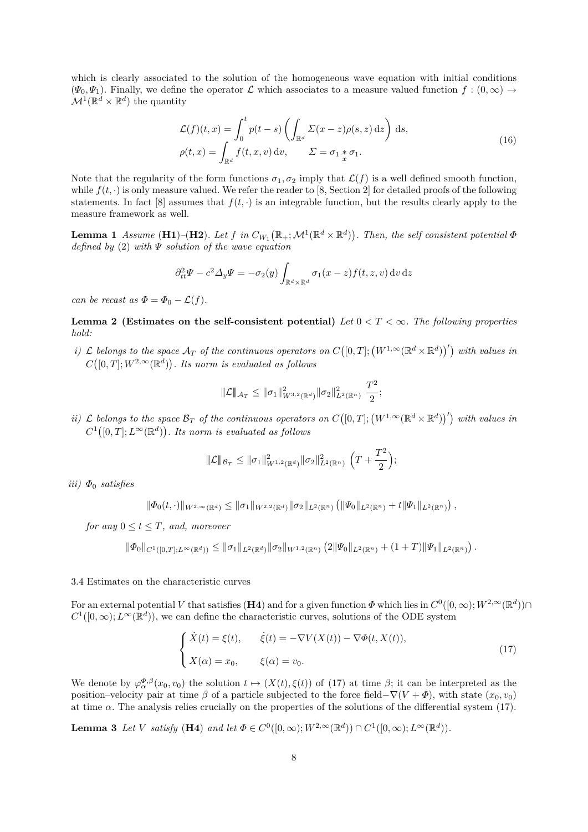which is clearly associated to the solution of the homogeneous wave equation with initial conditions  $(\Psi_0, \Psi_1)$ . Finally, we define the operator L which associates to a measure valued function  $f : (0, \infty) \to$  $\mathcal{M}^1(\mathbb{R}^d \times \mathbb{R}^d)$  the quantity

$$
\mathcal{L}(f)(t,x) = \int_0^t p(t-s) \left( \int_{\mathbb{R}^d} \Sigma(x-z) \rho(s,z) \,dz \right) \,ds,
$$
\n
$$
\rho(t,x) = \int_{\mathbb{R}^d} f(t,x,v) \,dv, \qquad \Sigma = \sigma_1 * \sigma_1.
$$
\n(16)

Note that the regularity of the form functions  $\sigma_1, \sigma_2$  imply that  $\mathcal{L}(f)$  is a well defined smooth function, while  $f(t, \cdot)$  is only measure valued. We refer the reader to [8, Section 2] for detailed proofs of the following statements. In fact [8] assumes that  $f(t, \cdot)$  is an integrable function, but the results clearly apply to the measure framework as well.

**Lemma 1** *Assume* (**H1**)–(**H2**)*.* Let  $f$  in  $C_{W_1}(\mathbb{R}_+; \mathcal{M}^1(\mathbb{R}^d \times \mathbb{R}^d))$ *. Then, the self consistent potential*  $\Phi$ *defined by* (2) *with Ψ solution of the wave equation*

$$
\partial_{tt}^2 \Psi - c^2 \Delta_y \Psi = -\sigma_2(y) \int_{\mathbb{R}^d \times \mathbb{R}^d} \sigma_1(x - z) f(t, z, v) \, dv \, dz
$$

*can be recast as*  $\Phi = \Phi_0 - \mathcal{L}(f)$ *.* 

**Lemma 2 (Estimates on the self-consistent potential)** Let  $0 < T < \infty$ . The following properties *hold:*

*i*)  $\mathcal L$  *belongs to the space*  $\mathcal A_T$  *of the continuous operators on*  $C([0,T]; (W^{1,\infty}(\mathbb R^d \times \mathbb R^d))')$  *with values in*  $C([0,T]; W^{2,\infty}(\mathbb{R}^d))$ . Its norm is evaluated as follows

$$
\|\mathcal{L}\|_{\mathcal{A}_T} \le \|\sigma_1\|_{W^{3,2}(\mathbb{R}^d)}^2 \|\sigma_2\|_{L^2(\mathbb{R}^n)}^2 \frac{T^2}{2};
$$

*ii*)  $\mathcal{L}$  *belongs to the space*  $\mathcal{B}_T$  *of the continuous operators on*  $C([0,T]; (W^{1,\infty}(\mathbb{R}^d \times \mathbb{R}^d))')$  *with values in*  $C^1([0,T];L^\infty(\mathbb{R}^d))$ . Its norm is evaluated as follows

$$
\|\mathcal{L}\|_{\mathcal{B}_T} \le \|\sigma_1\|_{W^{1,2}(\mathbb{R}^d)}^2 \|\sigma_2\|_{L^2(\mathbb{R}^n)}^2 \left(T + \frac{T^2}{2}\right);
$$

*iii) Φ*<sup>0</sup> *satisfies*

$$
\|\Phi_0(t,\cdot)\|_{W^{2,\infty}(\mathbb{R}^d)} \le \|\sigma_1\|_{W^{2,2}(\mathbb{R}^d)} \|\sigma_2\|_{L^2(\mathbb{R}^n)} \left( \|\Psi_0\|_{L^2(\mathbb{R}^n)} + t \|\Psi_1\|_{L^2(\mathbb{R}^n)} \right),
$$

*for any*  $0 \le t \le T$ *, and, moreover* 

$$
\|\Phi_0\|_{C^1([0,T];L^\infty(\mathbb{R}^d))} \le \|\sigma_1\|_{L^2(\mathbb{R}^d)} \|\sigma_2\|_{W^{1,2}(\mathbb{R}^n)} \left(2\|\Psi_0\|_{L^2(\mathbb{R}^n)} + (1+T)\|\Psi_1\|_{L^2(\mathbb{R}^n)}\right).
$$

# 3.4 Estimates on the characteristic curves

For an external potential *V* that satisfies (H4) and for a given function  $\Phi$  which lies in  $C^0([0,\infty); W^{2,\infty}(\mathbb{R}^d))\cap$  $C^1([0,\infty); L^\infty(\mathbb{R}^d)$ , we can define the characteristic curves, solutions of the ODE system

$$
\begin{cases}\n\dot{X}(t) = \xi(t), & \dot{\xi}(t) = -\nabla V(X(t)) - \nabla \Phi(t, X(t)), \\
X(\alpha) = x_0, & \xi(\alpha) = v_0.\n\end{cases}
$$
\n(17)

We denote by  $\varphi_{\alpha}^{\Phi,\beta}(x_0,v_0)$  the solution  $t \mapsto (X(t),\xi(t))$  of (17) at time  $\beta$ ; it can be interpreted as the position–velocity pair at time  $\beta$  of a particle subjected to the force field– $\nabla(V+\Phi)$ , with state  $(x_0, v_0)$ at time *α*. The analysis relies crucially on the properties of the solutions of the differential system (17).

**Lemma 3** Let *V* satisfy (**H4**) and let  $\Phi \in C^0([0,\infty); W^{2,\infty}(\mathbb{R}^d)) \cap C^1([0,\infty); L^{\infty}(\mathbb{R}^d))$ .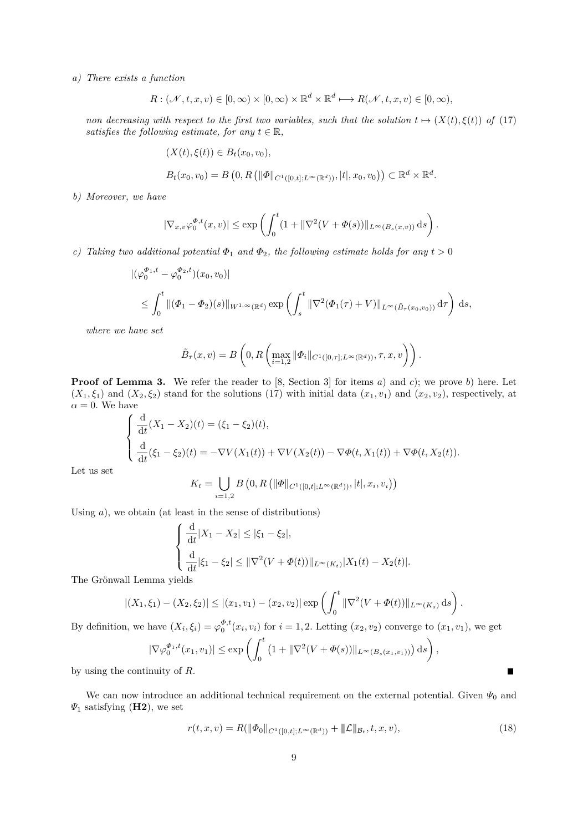*a) There exists a function*

$$
R: (\mathscr{N}, t, x, v) \in [0, \infty) \times [0, \infty) \times \mathbb{R}^d \times \mathbb{R}^d \longmapsto R(\mathscr{N}, t, x, v) \in [0, \infty),
$$

*non decreasing with respect to the first two variables, such that the solution*  $t \mapsto (X(t), \xi(t))$  *of* (17) *satisfies the following estimate, for any*  $t \in \mathbb{R}$ *,* 

$$
(X(t), \xi(t)) \in B_t(x_0, v_0),
$$
  

$$
B_t(x_0, v_0) = B(0, R(||\Phi||_{C^1([0,t];L^\infty(\mathbb{R}^d))}, |t|, x_0, v_0)) \subset \mathbb{R}^d \times \mathbb{R}^d
$$

*.*

*b) Moreover, we have*

$$
|\nabla_{x,v}\varphi_0^{\Phi,t}(x,v)| \le \exp\left(\int_0^t (1+||\nabla^2(V+\Phi(s))||_{L^\infty(B_s(x,v))} ds\right).
$$

*c) Taking two additional potential*  $\Phi_1$  *and*  $\Phi_2$ *, the following estimate holds for any*  $t > 0$ 

$$
\begin{aligned} &\left| (\varphi_0^{\Phi_1,t} - \varphi_0^{\Phi_2,t}) (x_0, v_0) \right| \\ &\leq \int_0^t \| (\Phi_1 - \Phi_2)(s) \|_{W^{1,\infty}(\mathbb{R}^d)} \exp \left( \int_s^t \|\nabla^2 (\Phi_1(\tau) + V) \|_{L^\infty(\tilde{B}_\tau(x_0, v_0))} \, \mathrm{d}\tau \right) \, \mathrm{d}s, \end{aligned}
$$

*where we have set*

$$
\tilde{B}_{\tau}(x,v) = B\left(0, R\left(\max_{i=1,2} \|\Phi_i\|_{C^1([0,\tau];L^{\infty}(\mathbb{R}^d))}, \tau, x, v\right)\right).
$$

**Proof of Lemma 3.** We refer the reader to [8, Section 3] for items *a*) and *c*); we prove *b*) here. Let  $(X_1, \xi_1)$  and  $(X_2, \xi_2)$  stand for the solutions (17) with initial data  $(x_1, v_1)$  and  $(x_2, v_2)$ , respectively, at  $\alpha = 0$ . We have

$$
\begin{cases} \frac{\mathrm{d}}{\mathrm{d}t}(X_1 - X_2)(t) = (\xi_1 - \xi_2)(t), \\ \frac{\mathrm{d}}{\mathrm{d}t}(\xi_1 - \xi_2)(t) = -\nabla V(X_1(t)) + \nabla V(X_2(t)) - \nabla \Phi(t, X_1(t)) + \nabla \Phi(t, X_2(t)). \end{cases}
$$

Let us set

$$
K_t = \bigcup_{i=1,2} B\left(0, R\left(\|\Phi\|_{C^1([0,t];L^\infty(\mathbb{R}^d))}, |t|, x_i, v_i\right)\right)
$$

Using *a*), we obtain (at least in the sense of distributions)

$$
\begin{cases} \frac{d}{dt}|X_1 - X_2| \le |\xi_1 - \xi_2|, \\ \frac{d}{dt}|\xi_1 - \xi_2| \le \|\nabla^2(V + \varPhi(t))\|_{L^\infty(K_t)} |X_1(t) - X_2(t)|. \end{cases}
$$

The Grönwall Lemma yields

$$
|(X_1,\xi_1)-(X_2,\xi_2)|\leq |(x_1,v_1)-(x_2,v_2)|\exp\left(\int_0^t \|\nabla^2(V+\Phi(t))\|_{L^\infty(K_s)}\,\mathrm{d} s\right).
$$

By definition, we have  $(X_i, \xi_i) = \varphi_0^{\Phi, t}(x_i, v_i)$  for  $i = 1, 2$ . Letting  $(x_2, v_2)$  converge to  $(x_1, v_1)$ , we get

$$
|\nabla \varphi_0^{\Phi_1,t}(x_1,v_1)| \le \exp \left( \int_0^t \left( 1 + \|\nabla^2 (V + \Phi(s))\|_{L^\infty(B_s(x_1,v_1))} \right) ds \right),
$$

by using the continuity of *R*.

We can now introduce an additional technical requirement on the external potential. Given *Ψ*<sup>0</sup> and *Ψ*<sup>1</sup> satisfying (**H2**), we set

$$
r(t, x, v) = R(||\Phi_0||_{C^1([0, t]; L^\infty(\mathbb{R}^d))} + ||\mathcal{L}||_{\mathcal{B}_t}, t, x, v),
$$
\n(18)

 $\blacksquare$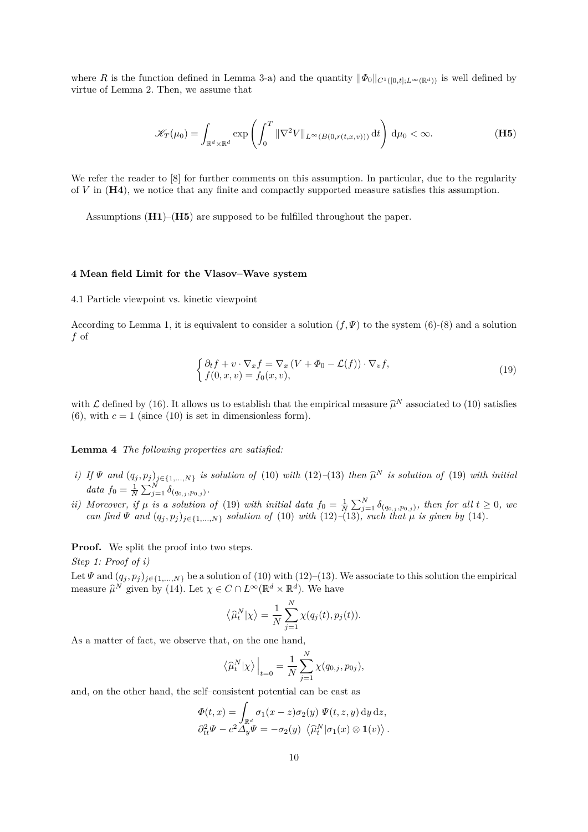where *R* is the function defined in Lemma 3-a) and the quantity  $\|\Phi_0\|_{C^1([0,t];L^\infty(\mathbb{R}^d))}$  is well defined by virtue of Lemma 2. Then, we assume that

$$
\mathscr{K}_{T}(\mu_{0}) = \int_{\mathbb{R}^{d} \times \mathbb{R}^{d}} \exp\left(\int_{0}^{T} \|\nabla^{2}V\|_{L^{\infty}(B(0,r(t,x,v)))} \,\mathrm{d}t\right) \,\mathrm{d}\mu_{0} < \infty. \tag{H5}
$$

We refer the reader to  $[8]$  for further comments on this assumption. In particular, due to the regularity of *V* in (**H4**), we notice that any finite and compactly supported measure satisfies this assumption.

Assumptions (**H1**)–(**H5**) are supposed to be fulfilled throughout the paper.

### **4 Mean field Limit for the Vlasov–Wave system**

4.1 Particle viewpoint vs. kinetic viewpoint

According to Lemma 1, it is equivalent to consider a solution  $(f,\Psi)$  to the system (6)-(8) and a solution *f* of

$$
\begin{cases} \partial_t f + v \cdot \nabla_x f = \nabla_x \left( V + \Phi_0 - \mathcal{L}(f) \right) \cdot \nabla_v f, \\ f(0, x, v) = f_0(x, v), \end{cases}
$$
\n(19)

with  $\mathcal L$  defined by (16). It allows us to establish that the empirical measure  $\hat \mu^N$  associated to (10) satisfies (6), with  $c = 1$  (since (10) is set in dimensionless form).

**Lemma 4** *The following properties are satisfied:*

- i) If  $\Psi$  and  $(q_j, p_j)_{j \in \{1, ..., N\}}$  is solution of (10) with (12)-(13) then  $\widehat{\mu}^N$  is solution of (19) with initial  $data f_0 = \frac{1}{N} \sum_{j=1}^{N} \delta_{(q_{0,j}, p_{0,j})}$ .
- ii) Moreover, if  $\mu$  is a solution of (19) with initial data  $f_0 = \frac{1}{N} \sum_{j=1}^{N} \delta_{(q_{0,j},p_{0,j})}$ , then for all  $t \geq 0$ , we *can find*  $\Psi$  *and*  $(q_j, p_j)_{j \in \{1, ..., N\}}$  *solution of* (10) *with* (12)–(13)*, such that*  $\mu$  *is given by* (14)*.*

**Proof.** We split the proof into two steps.

*Step 1: Proof of i)*

Let  $\Psi$  and  $(q_j, p_j)_{j \in \{1, ..., N\}}$  be a solution of (10) with (12)–(13). We associate to this solution the empirical measure  $\widehat{\mu}^N$  given by (14). Let  $\chi \in C \cap L^{\infty}(\mathbb{R}^d \times \mathbb{R}^d)$ . We have

$$
\langle \widehat{\mu}_t^N | \chi \rangle = \frac{1}{N} \sum_{j=1}^N \chi(q_j(t), p_j(t)).
$$

As a matter of fact, we observe that, on the one hand,

$$
\left\langle \widehat{\mu}_t^N|\chi\rangle\right|_{t=0} = \frac{1}{N} \sum_{j=1}^N \chi(q_{0,j}, p_{0j}),
$$

and, on the other hand, the self–consistent potential can be cast as

$$
\Phi(t,x) = \int_{\mathbb{R}^d} \sigma_1(x-z) \sigma_2(y) \Psi(t,z,y) \, dy \, dz,
$$
  

$$
\partial_{tt}^2 \Psi - c^2 \Delta_y \Psi = -\sigma_2(y) \langle \hat{\mu}_t^N | \sigma_1(x) \otimes \mathbf{1}(v) \rangle.
$$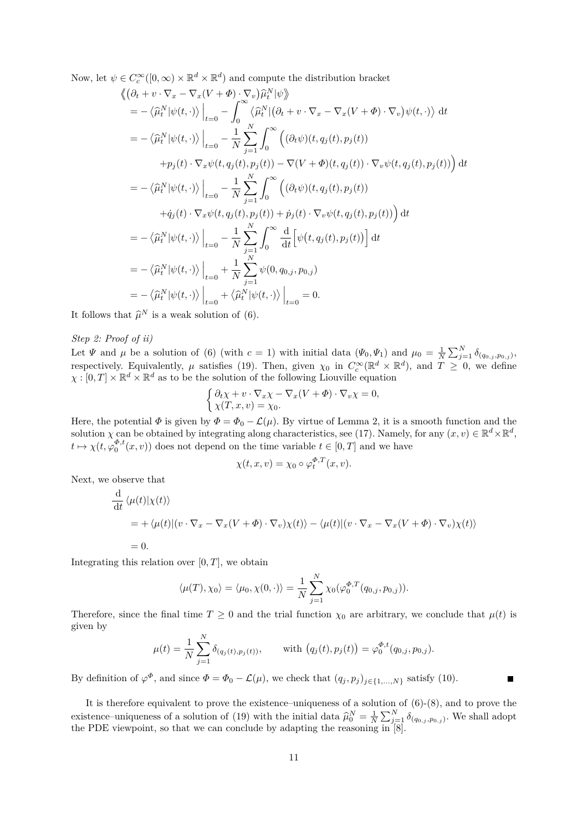Now, let  $\psi \in C_c^{\infty}([0,\infty) \times \mathbb{R}^d \times \mathbb{R}^d)$  and compute the distribution bracket

$$
\langle (\partial_t + v \cdot \nabla_x - \nabla_x (V + \Phi) \cdot \nabla_v) \hat{\mu}_t^N | \psi \rangle
$$
  
\n
$$
= -\langle \hat{\mu}_t^N | \psi(t, \cdot) \rangle \Big|_{t=0} - \int_0^\infty \langle \hat{\mu}_t^N | (\partial_t + v \cdot \nabla_x - \nabla_x (V + \Phi) \cdot \nabla_v) \psi(t, \cdot) \rangle dt
$$
  
\n
$$
= -\langle \hat{\mu}_t^N | \psi(t, \cdot) \rangle \Big|_{t=0} - \frac{1}{N} \sum_{j=1}^N \int_0^\infty ((\partial_t \psi)(t, q_j(t), p_j(t))
$$
  
\n
$$
+ p_j(t) \cdot \nabla_x \psi(t, q_j(t), p_j(t)) - \nabla(V + \Phi)(t, q_j(t)) \cdot \nabla_v \psi(t, q_j(t), p_j(t)) \Big) dt
$$
  
\n
$$
= -\langle \hat{\mu}_t^N | \psi(t, \cdot) \rangle \Big|_{t=0} - \frac{1}{N} \sum_{j=1}^N \int_0^\infty ((\partial_t \psi)(t, q_j(t), p_j(t))
$$
  
\n
$$
+ \dot{q}_j(t) \cdot \nabla_x \psi(t, q_j(t), p_j(t)) + \dot{p}_j(t) \cdot \nabla_v \psi(t, q_j(t), p_j(t)) \Big) dt
$$
  
\n
$$
= -\langle \hat{\mu}_t^N | \psi(t, \cdot) \rangle \Big|_{t=0} - \frac{1}{N} \sum_{j=1}^N \int_0^\infty \frac{d}{dt} \Big[ \psi(t, q_j(t), p_j(t)) \Big] dt
$$
  
\n
$$
= -\langle \hat{\mu}_t^N | \psi(t, \cdot) \rangle \Big|_{t=0} + \frac{1}{N} \sum_{j=1}^N \psi(0, q_{0,j}, p_{0,j})
$$
  
\n
$$
= -\langle \hat{\mu}_t^N | \psi(t, \cdot) \rangle \Big|_{t=0} + \langle \hat{\mu}_t^N | \psi(t, \cdot) \rangle \Big|_{t=0} = 0.
$$

It follows that  $\widehat{\mu}^N$  is a weak solution of (6).

# *Step 2: Proof of ii)*

Let  $\Psi$  and  $\mu$  be a solution of (6) (with  $c = 1$ ) with initial data  $(\Psi_0, \Psi_1)$  and  $\mu_0 = \frac{1}{N} \sum_{j=1}^N \delta_{(q_{0,j}, p_{0,j})}$ , respectively. Equivalently,  $\mu$  satisfies (19). Then, given  $\chi_0$  in  $C_c^{\infty}(\mathbb{R}^d \times \mathbb{R}^d)$ , and  $T \geq 0$ , we define  $\chi : [0, T] \times \mathbb{R}^d \times \mathbb{R}^d$  as to be the solution of the following Liouville equation

$$
\begin{cases} \partial_t \chi + v \cdot \nabla_x \chi - \nabla_x (V + \Phi) \cdot \nabla_v \chi = 0, \\ \chi(T, x, v) = \chi_0. \end{cases}
$$

Here, the potential  $\Phi$  is given by  $\Phi = \Phi_0 - \mathcal{L}(\mu)$ . By virtue of Lemma 2, it is a smooth function and the solution *χ* can be obtained by integrating along characteristics, see (17). Namely, for any  $(x, v) \in \mathbb{R}^d \times \mathbb{R}^d$ ,  $t \mapsto \chi(t, \varphi_0^{\Phi, t}(x, v))$  does not depend on the time variable  $t \in [0, T]$  and we have

$$
\chi(t, x, v) = \chi_0 \circ \varphi_t^{\Phi, T}(x, v).
$$

Next, we observe that

$$
\frac{\mathrm{d}}{\mathrm{d}t} \langle \mu(t) | \chi(t) \rangle
$$
\n
$$
= + \langle \mu(t) | (v \cdot \nabla_x - \nabla_x (V + \Phi) \cdot \nabla_v) \chi(t) \rangle - \langle \mu(t) | (v \cdot \nabla_x - \nabla_x (V + \Phi) \cdot \nabla_v) \chi(t) \rangle
$$
\n
$$
= 0.
$$

Integrating this relation over  $[0, T]$ , we obtain

$$
\langle \mu(T), \chi_0 \rangle = \langle \mu_0, \chi(0, \cdot) \rangle = \frac{1}{N} \sum_{j=1}^N \chi_0(\varphi_0^{\Phi, T}(q_{0,j}, p_{0,j})).
$$

Therefore, since the final time  $T \geq 0$  and the trial function  $\chi_0$  are arbitrary, we conclude that  $\mu(t)$  is given by *N*

$$
\mu(t) = \frac{1}{N} \sum_{j=1}^{N} \delta_{(q_j(t), p_j(t))}, \quad \text{with } (q_j(t), p_j(t)) = \varphi_0^{\Phi, t}(q_{0,j}, p_{0,j}).
$$

 $\blacksquare$ 

By definition of  $\varphi^{\Phi}$ , and since  $\Phi = \Phi_0 - \mathcal{L}(\mu)$ , we check that  $(q_j, p_j)_{j \in \{1, ..., N\}}$  satisfy (10).

It is therefore equivalent to prove the existence–uniqueness of a solution of  $(6)-(8)$ , and to prove the existence–uniqueness of a solution of (19) with the initial data  $\hat{\mu}_0^N = \frac{1}{N} \sum_{j=1}^N \delta_{(q_{0,j}, p_{0,j})}$ . We shall adopt the PDE viewpoint, so that we can conclude by adapting the reasoning in [8].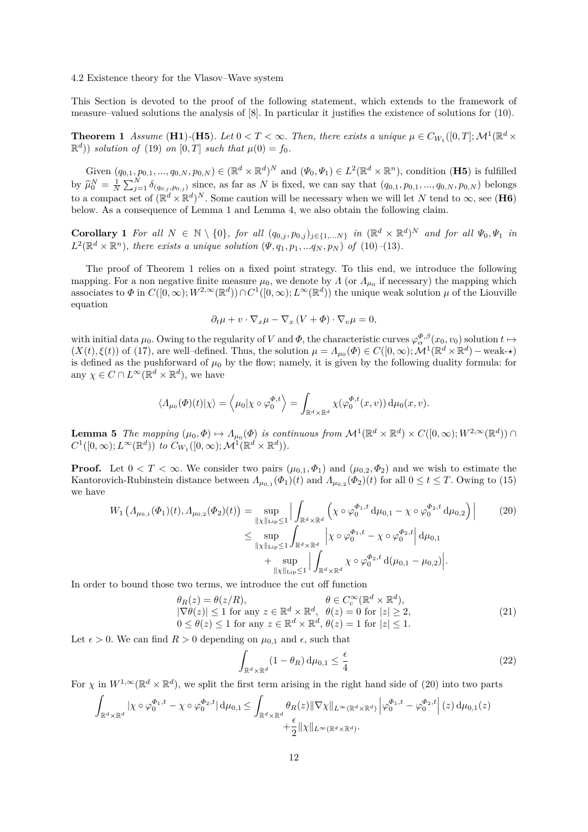### 4.2 Existence theory for the Vlasov–Wave system

This Section is devoted to the proof of the following statement, which extends to the framework of measure–valued solutions the analysis of [8]. In particular it justifies the existence of solutions for (10).

**Theorem 1** *Assume* (**H1**)-(**H5**)*. Let*  $0 < T < \infty$ *. Then, there exists a unique*  $\mu \in C_{W_1}([0, T]; \mathcal{M}^1(\mathbb{R}^d \times$  $\mathbb{R}^d$ )) *solution of* (19) *on*  $[0, T]$  *such that*  $\mu(0) = f_0$ *.* 

Given  $(q_{0,1}, p_{0,1}, ..., q_{0,N}, p_{0,N}) \in (\mathbb{R}^d \times \mathbb{R}^d)^N$  and  $(\Psi_0, \Psi_1) \in L^2(\mathbb{R}^d \times \mathbb{R}^n)$ , condition  $(H5)$  is fulfilled by  $\hat{\mu}_0^N = \frac{1}{N} \sum_{j=1}^N \delta_{(q_{0,j}, p_{0,j})}$  since, as far as N is fixed, we can say that  $(q_{0,1}, p_{0,1}, ..., q_{0,N}, p_{0,N})$  belongs to a compact set of  $(\mathbb{R}^d \times \mathbb{R}^d)^N$ . Some caution will be necessary when we will let *N* tend to  $\infty$ , see (**H6**) below. As a consequence of Lemma 1 and Lemma 4, we also obtain the following claim.

**Corollary** 1 For all  $N \in \mathbb{N} \setminus \{0\}$ , for all  $(q_{0,j}, p_{0,j})_{j \in \{1,...N\}}$  in  $(\mathbb{R}^d \times \mathbb{R}^d)^N$  and for all  $\Psi_0, \Psi_1$  in  $L^2(\mathbb{R}^d \times \mathbb{R}^n)$ , there exists a unique solution  $(\Psi, q_1, p_1, \ldots, q_N, p_N)$  of  $(10)$ – $(13)$ *.* 

The proof of Theorem 1 relies on a fixed point strategy. To this end, we introduce the following mapping. For a non negative finite measure  $\mu_0$ , we denote by *Λ* (or  $\Lambda_{\mu_0}$  if necessary) the mapping which associates to  $\Phi$  in  $C([0,\infty); W^{2,\infty}(\mathbb{R}^d)) \cap C^1([0,\infty); L^\infty(\mathbb{R}^d))$  the unique weak solution  $\mu$  of the Liouville equation

$$
\partial_t \mu + v \cdot \nabla_x \mu - \nabla_x (V + \Phi) \cdot \nabla_v \mu = 0,
$$

with initial data  $\mu_0$ . Owing to the regularity of *V* and  $\Phi$ , the characteristic curves  $\varphi_{\alpha}^{\Phi,\beta}(x_0, v_0)$  solution  $t \mapsto$  $(X(t), \xi(t))$  of (17), are well-defined. Thus, the solution  $\mu = \Lambda_{\mu_0}(\Phi) \in C([0, \infty); \mathcal{M}^1(\mathbb{R}^d \times \mathbb{R}^d)$  – weak-\*) is defined as the pushforward of  $\mu_0$  by the flow; namely, it is given by the following duality formula: for any  $\chi \in C \cap L^{\infty}(\mathbb{R}^d \times \mathbb{R}^d)$ , we have

$$
\langle \Lambda_{\mu_0}(\varPhi)(t)|\chi\rangle = \langle \mu_0|\chi \circ \varphi_0^{\varPhi,t} \rangle = \int_{\mathbb{R}^d \times \mathbb{R}^d} \chi(\varphi_0^{\varPhi,t}(x,v)) \,d\mu_0(x,v).
$$

**Lemma 5** *The mapping*  $(\mu_0, \Phi) \mapsto \Lambda_{\mu_0}(\Phi)$  *is continuous from*  $\mathcal{M}^1(\mathbb{R}^d \times \mathbb{R}^d) \times C([0, \infty); W^{2, \infty}(\mathbb{R}^d))$  $C^1([0,\infty); L^\infty(\mathbb{R}^d))$  *to*  $C_{W_1}([0,\infty); \mathcal{M}^1(\mathbb{R}^d \times \mathbb{R}^d))$ *.* 

**Proof.** Let  $0 < T < \infty$ . We consider two pairs  $(\mu_{0,1}, \Phi_1)$  and  $(\mu_{0,2}, \Phi_2)$  and we wish to estimate the Kantorovich-Rubinstein distance between  $\Lambda_{\mu_{0,1}}(\Phi_1)(t)$  and  $\Lambda_{\mu_{0,2}}(\Phi_2)(t)$  for all  $0 \le t \le T$ . Owing to (15) we have

$$
W_{1}\left(\Lambda_{\mu_{0,1}}(\Phi_{1})(t),\Lambda_{\mu_{0,2}}(\Phi_{2})(t)\right) = \sup_{\substack{\|\chi\|_{\mathrm{Lip}} \leq 1}} \Big| \int_{\mathbb{R}^{d} \times \mathbb{R}^{d}} \left( \chi \circ \varphi_{0}^{\Phi_{1},t} \, \mathrm{d}\mu_{0,1} - \chi \circ \varphi_{0}^{\Phi_{2},t} \, \mathrm{d}\mu_{0,2} \right) \Big| \tag{20}
$$
\n
$$
\leq \sup_{\substack{\|\chi\|_{\mathrm{Lip}} \leq 1}} \int_{\mathbb{R}^{d} \times \mathbb{R}^{d}} \left| \chi \circ \varphi_{0}^{\Phi_{1},t} - \chi \circ \varphi_{0}^{\Phi_{2},t} \right| \, \mathrm{d}\mu_{0,1}
$$
\n
$$
+ \sup_{\|\chi\|_{\mathrm{Lip}} \leq 1} \left| \int_{\mathbb{R}^{d} \times \mathbb{R}^{d}} \chi \circ \varphi_{0}^{\Phi_{2},t} \, \mathrm{d}(\mu_{0,1} - \mu_{0,2}) \right|.
$$

In order to bound those two terms, we introduce the cut off function

$$
\theta_R(z) = \theta(z/R), \qquad \qquad \theta \in C_c^{\infty}(\mathbb{R}^d \times \mathbb{R}^d),
$$
  
\n
$$
|\nabla \theta(z)| \le 1 \text{ for any } z \in \mathbb{R}^d \times \mathbb{R}^d, \quad \theta(z) = 0 \text{ for } |z| \ge 2,
$$
  
\n
$$
0 \le \theta(z) \le 1 \text{ for any } z \in \mathbb{R}^d \times \mathbb{R}^d, \quad \theta(z) = 1 \text{ for } |z| \le 1.
$$
\n(21)

Let  $\epsilon > 0$ . We can find  $R > 0$  depending on  $\mu_{0,1}$  and  $\epsilon$ , such that

$$
\int_{\mathbb{R}^d \times \mathbb{R}^d} (1 - \theta_R) \, \mathrm{d}\mu_{0,1} \le \frac{\epsilon}{4} \tag{22}
$$

For  $\chi$  in  $W^{1,\infty}(\mathbb{R}^d \times \mathbb{R}^d)$ , we split the first term arising in the right hand side of (20) into two parts

$$
\int_{\mathbb{R}^d \times \mathbb{R}^d} |\chi \circ \varphi_0^{\Phi_1, t} - \chi \circ \varphi_0^{\Phi_2, t}| d\mu_{0,1} \leq \int_{\mathbb{R}^d \times \mathbb{R}^d} \theta_R(z) \|\nabla \chi\|_{L^\infty(\mathbb{R}^d \times \mathbb{R}^d)} \left| \varphi_0^{\Phi_1, t} - \varphi_0^{\Phi_2, t} \right| (z) d\mu_{0,1}(z) + \frac{\epsilon}{2} \|\chi\|_{L^\infty(\mathbb{R}^d \times \mathbb{R}^d)}.
$$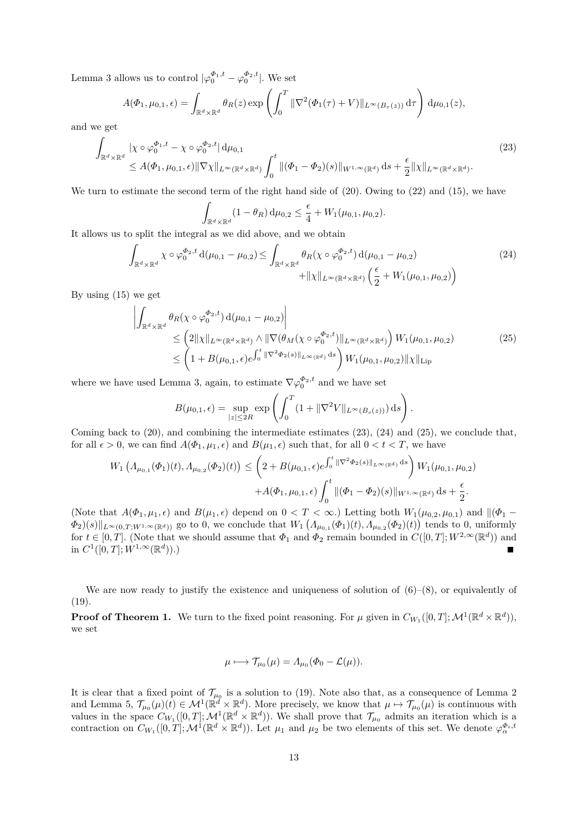Lemma 3 allows us to control  $|\varphi_0^{\Phi_1,t} - \varphi_0^{\Phi_2,t}|$ . We set

$$
A(\Phi_1, \mu_{0,1}, \epsilon) = \int_{\mathbb{R}^d \times \mathbb{R}^d} \theta_R(z) \exp\left(\int_0^T \|\nabla^2(\Phi_1(\tau) + V)\|_{L^\infty(B_\tau(z))} d\tau\right) d\mu_{0,1}(z),
$$

and we get

$$
\int_{\mathbb{R}^d \times \mathbb{R}^d} |\chi \circ \varphi_0^{\Phi_1, t} - \chi \circ \varphi_0^{\Phi_2, t}| \, d\mu_{0,1} \leq A(\Phi_1, \mu_{0,1}, \epsilon) \|\nabla \chi\|_{L^\infty(\mathbb{R}^d \times \mathbb{R}^d)} \int_0^t \|(\Phi_1 - \Phi_2)(s)\|_{W^{1,\infty}(\mathbb{R}^d)} \, ds + \frac{\epsilon}{2} \|\chi\|_{L^\infty(\mathbb{R}^d \times \mathbb{R}^d)}.
$$
\n(23)

We turn to estimate the second term of the right hand side of  $(20)$ . Owing to  $(22)$  and  $(15)$ , we have

$$
\int_{\mathbb{R}^d \times \mathbb{R}^d} (1 - \theta_R) d\mu_{0,2} \leq \frac{\epsilon}{4} + W_1(\mu_{0,1}, \mu_{0,2}).
$$

It allows us to split the integral as we did above, and we obtain

$$
\int_{\mathbb{R}^d \times \mathbb{R}^d} \chi \circ \varphi_0^{\Phi_2, t} d(\mu_{0,1} - \mu_{0,2}) \le \int_{\mathbb{R}^d \times \mathbb{R}^d} \theta_R(\chi \circ \varphi_0^{\Phi_2, t}) d(\mu_{0,1} - \mu_{0,2}) + ||\chi||_{L^{\infty}(\mathbb{R}^d \times \mathbb{R}^d)} \left(\frac{\epsilon}{2} + W_1(\mu_{0,1}, \mu_{0,2})\right)
$$
\n(24)

By using (15) we get

$$
\left| \int_{\mathbb{R}^d \times \mathbb{R}^d} \theta_R(\chi \circ \varphi_0^{\Phi_2, t}) d(\mu_{0,1} - \mu_{0,2}) \right|
$$
\n
$$
\leq \left( 2 \|\chi\|_{L^{\infty}(\mathbb{R}^d \times \mathbb{R}^d)} \wedge \|\nabla(\theta_M(\chi \circ \varphi_0^{\Phi_2, t})\|_{L^{\infty}(\mathbb{R}^d \times \mathbb{R}^d)} \right) W_1(\mu_{0,1}, \mu_{0,2})
$$
\n
$$
\leq \left( 1 + B(\mu_{0,1}, \epsilon) e^{\int_0^t \|\nabla^2 \Phi_2(s)\|_{L^{\infty}(\mathbb{R}^d)} ds} \right) W_1(\mu_{0,1}, \mu_{0,2}) \|\chi\|_{\text{Lip}} \tag{25}
$$

where we have used Lemma 3, again, to estimate  $\nabla \varphi_0^{\Phi_2,t}$  and we have set

$$
B(\mu_{0,1}, \epsilon) = \sup_{|z| \le 2R} \exp \left( \int_0^T (1 + \|\nabla^2 V\|_{L^\infty(B_s(z))}) ds \right).
$$

Coming back to (20), and combining the intermediate estimates (23), (24) and (25), we conclude that, for all  $\epsilon > 0$ , we can find  $A(\Phi_1, \mu_1, \epsilon)$  and  $B(\mu_1, \epsilon)$  such that, for all  $0 < t < T$ , we have

$$
W_1\left(\Lambda_{\mu_{0,1}}(\Phi_1)(t),\Lambda_{\mu_{0,2}}(\Phi_2)(t)\right) \leq \left(2 + B(\mu_{0,1},\epsilon)e^{\int_0^t \|\nabla^2 \Phi_2(s)\|_{L^\infty(\mathbb{R}^d)} ds}\right)W_1(\mu_{0,1},\mu_{0,2}) + A(\Phi_1,\mu_{0,1},\epsilon)\int_0^t \|(\Phi_1 - \Phi_2)(s)\|_{W^{1,\infty}(\mathbb{R}^d)} ds + \frac{\epsilon}{2}.
$$

(Note that  $A(\Phi_1, \mu_1, \epsilon)$  and  $B(\mu_1, \epsilon)$  depend on  $0 < T < \infty$ .) Letting both  $W_1(\mu_{0,2}, \mu_{0,1})$  and  $\|\phi_1 - \phi_2\|$  $\Phi_2(s) \|_{L^{\infty}(0,T;W^{1,\infty}(\mathbb{R}^d))}$  go to 0, we conclude that  $W_1(\Lambda_{\mu_{0,1}}(\Phi_1)(t), \Lambda_{\mu_{0,2}}(\Phi_2)(t))$  tends to 0, uniformly for  $t \in [0, T]$ . (Note that we should assume that  $\Phi_1$  and  $\Phi_2$  remain bounded in  $C([0, T]; W^{2, \infty}(\mathbb{R}^d))$  and in  $C^1([0,T];W^{1,\infty}(\mathbb{R}^d))$ .) Е

We are now ready to justify the existence and uniqueness of solution of  $(6)-(8)$ , or equivalently of (19).

**Proof of Theorem 1.** We turn to the fixed point reasoning. For  $\mu$  given in  $C_{W_1}([0,T]; \mathcal{M}^1(\mathbb{R}^d \times \mathbb{R}^d))$ , we set

$$
\mu \longmapsto \mathcal{T}_{\mu_0}(\mu) = \Lambda_{\mu_0}(\Phi_0 - \mathcal{L}(\mu)).
$$

It is clear that a fixed point of  $\mathcal{T}_{\mu_0}$  is a solution to (19). Note also that, as a consequence of Lemma 2 and Lemma 5,  $\mathcal{T}_{\mu_0}(\mu)(t) \in \mathcal{M}^1(\mathbb{R}^d \times \mathbb{R}^d)$ . More precisely, we know that  $\mu \mapsto \mathcal{T}_{\mu_0}(\mu)$  is continuous with values in the space  $C_{W_1}([0,T]; \mathcal{M}^1(\mathbb{R}^d \times \mathbb{R}^d))$ . We shall prove that  $\mathcal{T}_{\mu_0}$  admits an iteration which is a contraction on  $C_{W_1}([0,T]; \mathcal{M}^1(\mathbb{R}^d \times \mathbb{R}^d))$ . Let  $\mu_1$  and  $\mu_2$  be two elements of this set. We denote  $\varphi_{\alpha}^{\Phi_i, t}$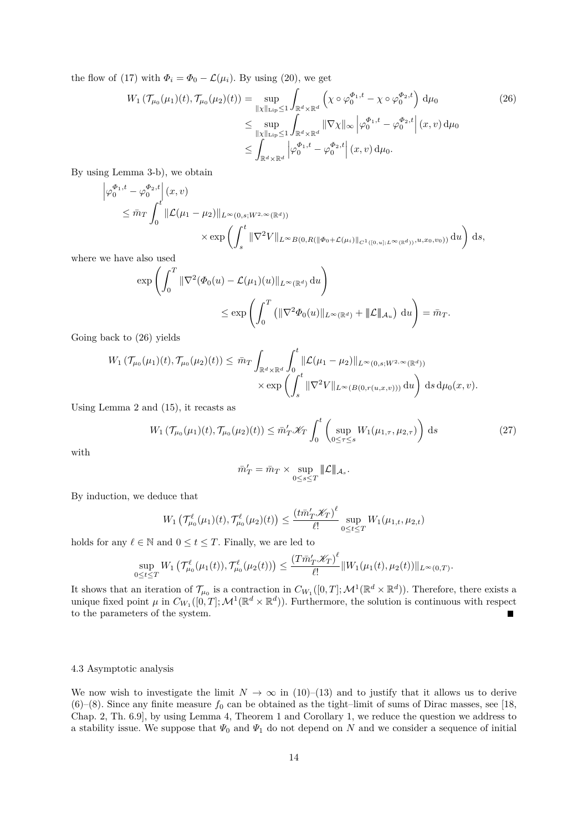the flow of (17) with  $\Phi_i = \Phi_0 - \mathcal{L}(\mu_i)$ . By using (20), we get

$$
W_{1} (\mathcal{T}_{\mu_{0}}(\mu_{1})(t), \mathcal{T}_{\mu_{0}}(\mu_{2})(t)) = \sup_{\|\chi\|_{\text{Lip}} \leq 1} \int_{\mathbb{R}^{d} \times \mathbb{R}^{d}} \left( \chi \circ \varphi_{0}^{\Phi_{1}, t} - \chi \circ \varphi_{0}^{\Phi_{2}, t} \right) d\mu_{0}
$$
\n
$$
\leq \sup_{\|\chi\|_{\text{Lip}} \leq 1} \int_{\mathbb{R}^{d} \times \mathbb{R}^{d}} \|\nabla \chi\|_{\infty} \left| \varphi_{0}^{\Phi_{1}, t} - \varphi_{0}^{\Phi_{2}, t} \right| (x, v) d\mu_{0}
$$
\n
$$
\leq \int_{\mathbb{R}^{d} \times \mathbb{R}^{d}} \left| \varphi_{0}^{\Phi_{1}, t} - \varphi_{0}^{\Phi_{2}, t} \right| (x, v) d\mu_{0}.
$$
\n(26)

By using Lemma 3-b), we obtain

$$
\left|\varphi_0^{\Phi_1,t} - \varphi_0^{\Phi_2,t}\right|(x,v) \n\leq \bar{m}_T \int_0^t \|\mathcal{L}(\mu_1 - \mu_2)\|_{L^\infty(0,s;W^{2,\infty}(\mathbb{R}^d))} \n\times \exp\left(\int_s^t \|\nabla^2 V\|_{L^\infty B(0,R(\|\Phi_0 + \mathcal{L}(\mu_i)\|_{C^1([0,u];L^\infty(\mathbb{R}^d))},u,x_0,v_0))} du\right) ds,
$$

where we have also used

$$
\exp\left(\int_0^T \|\nabla^2(\Phi_0(u) - \mathcal{L}(\mu_1)(u)\|_{L^\infty(\mathbb{R}^d)} du\right)
$$
  

$$
\leq \exp\left(\int_0^T \left(\|\nabla^2\Phi_0(u)\|_{L^\infty(\mathbb{R}^d)} + \|\mathcal{L}\|_{\mathcal{A}_u}\right) du\right) = \bar{m}_T.
$$

Going back to (26) yields

$$
W_1(\mathcal{T}_{\mu_0}(\mu_1)(t), \mathcal{T}_{\mu_0}(\mu_2)(t)) \leq \bar{m}_T \int_{\mathbb{R}^d \times \mathbb{R}^d} \int_0^t \|\mathcal{L}(\mu_1 - \mu_2)\|_{L^{\infty}(0, s; W^{2,\infty}(\mathbb{R}^d))}
$$

$$
\times \exp\left(\int_s^t \|\nabla^2 V\|_{L^{\infty}(B(0, r(u,x,v)))} \, \mathrm{d}u\right) \, \mathrm{d}s \, \mathrm{d}\mu_0(x, v).
$$

Using Lemma 2 and (15), it recasts as

$$
W_1\left(\mathcal{T}_{\mu_0}(\mu_1)(t), \mathcal{T}_{\mu_0}(\mu_2)(t)\right) \le \bar{m}_T' \mathcal{K}_T \int_0^t \left( \sup_{0 \le \tau \le s} W_1(\mu_{1,\tau}, \mu_{2,\tau}) \right) ds \tag{27}
$$

with

$$
\bar{m}_T' = \bar{m}_T \times \sup_{0 \leq s \leq T} \|\mathcal{L}\|_{\mathcal{A}_s}.
$$

By induction, we deduce that

$$
W_1\left(\mathcal{T}_{\mu_0}^{\ell}(\mu_1)(t),\mathcal{T}_{\mu_0}^{\ell}(\mu_2)(t)\right) \leq \frac{\left(t\bar{m}_T'\mathcal{K}_T\right)^{\ell}}{\ell!} \sup_{0 \leq t \leq T} W_1(\mu_{1,t},\mu_{2,t})
$$

holds for any  $\ell \in \mathbb{N}$  and  $0 \le t \le T$ . Finally, we are led to

$$
\sup_{0\leq t\leq T} W_1\left(\mathcal{T}_{\mu_0}^{\ell}(\mu_1(t)),\mathcal{T}_{\mu_0}^{\ell}(\mu_2(t))\right) \leq \frac{\left(T\bar{m}_T'\mathcal{K}_T\right)^{\ell}}{\ell!} \|W_1(\mu_1(t),\mu_2(t))\|_{L^{\infty}(0,T)}.
$$

It shows that an iteration of  $\mathcal{T}_{\mu_0}$  is a contraction in  $C_{W_1}([0,T];\mathcal{M}^1(\mathbb{R}^d\times\mathbb{R}^d))$ . Therefore, there exists a unique fixed point  $\mu$  in  $C_{W_1}([0,T]; \mathcal{M}^1(\mathbb{R}^d \times \mathbb{R}^d))$ . Furthermore, the solution is continuous with respect to the parameters of the system. Ē

# 4.3 Asymptotic analysis

We now wish to investigate the limit  $N \to \infty$  in (10)–(13) and to justify that it allows us to derive  $(6)$ – $(8)$ . Since any finite measure  $f_0$  can be obtained as the tight–limit of sums of Dirac masses, see [18, Chap. 2, Th. 6.9], by using Lemma 4, Theorem 1 and Corollary 1, we reduce the question we address to a stability issue. We suppose that  $\Psi_0$  and  $\Psi_1$  do not depend on  $N$  and we consider a sequence of initial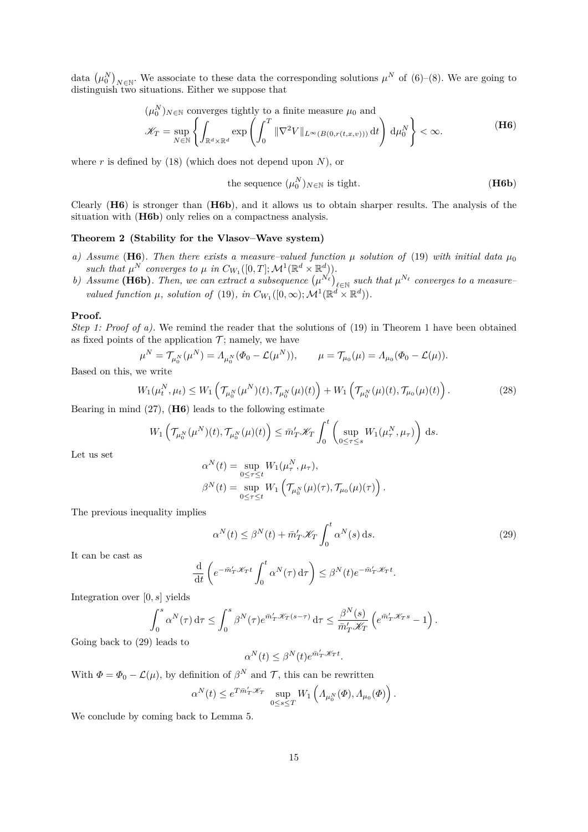data  $(\mu_0^N)_{N \in \mathbb{N}}$ . We associate to these data the corresponding solutions  $\mu^N$  of (6)–(8). We are going to distinguish two situations. Either we suppose that

$$
(\mu_0^N)_{N \in \mathbb{N}} \text{ converges tightly to a finite measure } \mu_0 \text{ and}
$$

$$
\mathcal{K}_T = \sup_{N \in \mathbb{N}} \left\{ \int_{\mathbb{R}^d \times \mathbb{R}^d} \exp \left( \int_0^T \|\nabla^2 V\|_{L^\infty(B(0, r(t, x, v)))} \, \mathrm{d}t \right) \, \mathrm{d}\mu_0^N \right\} < \infty. \tag{H6}
$$

where *r* is defined by (18) (which does not depend upon *N*), or

the sequence 
$$
(\mu_0^N)_{N \in \mathbb{N}}
$$
 is tight. **(H6b)**

Clearly (**H6**) is stronger than (**H6b**), and it allows us to obtain sharper results. The analysis of the situation with  $(H6b)$  only relies on a compactness analysis.

# **Theorem 2 (Stability for the Vlasov–Wave system)**

- *a) Assume* (**H6**)*. Then there exists a measure–valued function*  $\mu$  *solution of* (19) *with initial data*  $\mu_0$ *such that*  $\mu^N$  *converges to*  $\mu$  *in*  $C_{W_1}([0,T]; \mathcal{M}^1(\mathbb{R}^d \times \mathbb{R}^d))$ *.*
- *b*) *Assume* (H6b). Then, we can extract a subsequence  $(\mu^{N_{\ell}})_{\ell \in \mathbb{N}}$  such that  $\mu^{N_{\ell}}$  converges to a measure– *valued function*  $\mu$ *, solution of* (19)*, in*  $C_{W_1}([0,\infty); \mathcal{M}^1(\mathbb{R}^d \times \mathbb{R}^d))$ *.*

### **Proof.**

*Step 1: Proof of a).* We remind the reader that the solutions of (19) in Theorem 1 have been obtained as fixed points of the application  $\mathcal{T}$ ; namely, we have

$$
\mu^N = \mathcal{T}_{\mu_0^N}(\mu^N) = \Lambda_{\mu_0^N}(\Phi_0 - \mathcal{L}(\mu^N)), \qquad \mu = \mathcal{T}_{\mu_0}(\mu) = \Lambda_{\mu_0}(\Phi_0 - \mathcal{L}(\mu)).
$$

Based on this, we write

$$
W_1(\mu_t^N, \mu_t) \le W_1\left(\mathcal{T}_{\mu_0^N}(\mu^N)(t), \mathcal{T}_{\mu_0^N}(\mu)(t)\right) + W_1\left(\mathcal{T}_{\mu_0^N}(\mu)(t), \mathcal{T}_{\mu_0}(\mu)(t)\right). \tag{28}
$$

Bearing in mind (27), (**H6**) leads to the following estimate

$$
W_1\left(\mathcal{T}_{\mu_0^N}(\mu^N)(t),\mathcal{T}_{\mu_0^N}(\mu)(t)\right)\leq \bar{m}_T'\mathscr{K}_T\int_0^t\left(\sup_{0\leq\tau\leq s}W_1(\mu_\tau^N,\mu_\tau)\right)\,\mathrm{d}s.
$$

Let us set

$$
\alpha^N(t) = \sup_{0 \le \tau \le t} W_1(\mu_\tau^N, \mu_\tau),
$$
  

$$
\beta^N(t) = \sup_{0 \le \tau \le t} W_1(\mathcal{T}_{\mu_0^N}(\mu)(\tau), \mathcal{T}_{\mu_0}(\mu)(\tau)).
$$

The previous inequality implies

$$
\alpha^N(t) \le \beta^N(t) + \bar{m}_T' \mathcal{K}_T \int_0^t \alpha^N(s) \, \mathrm{d}s. \tag{29}
$$

It can be cast as

$$
\frac{\mathrm{d}}{\mathrm{d}t}\left(e^{-\bar{m}_T'\mathscr{K}_T t}\int_0^t \alpha^N(\tau)\,\mathrm{d}\tau\right) \leq \beta^N(t)e^{-\bar{m}_T'\mathscr{K}_T t}.
$$

Integration over [0*, s*] yields

$$
\int_0^s \alpha^N(\tau) d\tau \le \int_0^s \beta^N(\tau) e^{\bar{m}_T'\mathscr{K}_T(s-\tau)} d\tau \le \frac{\beta^N(s)}{\bar{m}_T'\mathscr{K}_T} \left( e^{\bar{m}_T'\mathscr{K}_T s} - 1 \right).
$$
 leads to

Going back to  $(29)$ *α*

$$
^{N}(t)\leq \beta ^{N}(t)e^{\bar{m}_{T}^{\prime }\mathscr{K}_{T}t}.
$$

With  $\Phi = \Phi_0 - \mathcal{L}(\mu)$ , by definition of  $\beta^N$  and  $\mathcal{T}$ , this can be rewritten

$$
\alpha^N(t) \leq e^{T\bar{m}'_T \mathscr{K}_T} \sup_{0 \leq s \leq T} W_1\left(\Lambda_{\mu_0^N}(\varPhi), \Lambda_{\mu_0}(\varPhi)\right).
$$

We conclude by coming back to Lemma 5.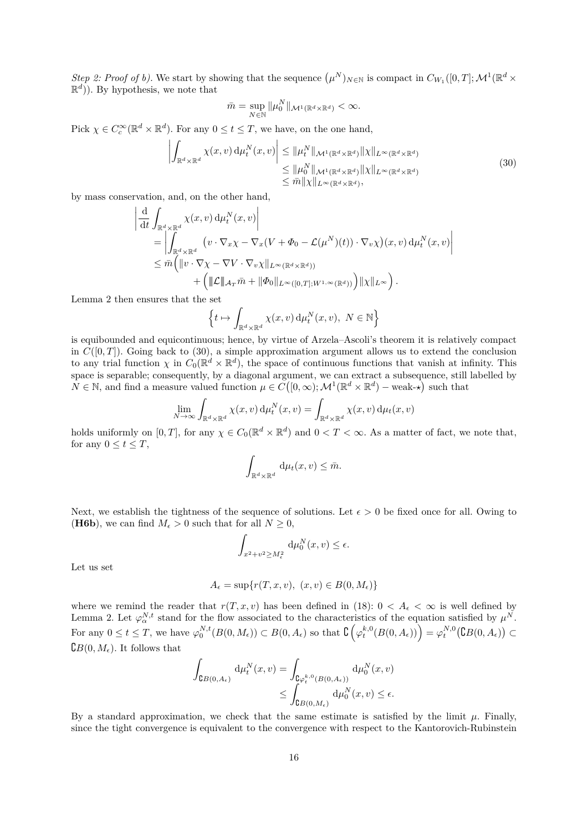*Step 2: Proof of b).* We start by showing that the sequence  $(\mu^N)_{N \in \mathbb{N}}$  is compact in  $C_{W_1}([0,T]; \mathcal{M}^1(\mathbb{R}^d \times$  $\mathbb{R}^d$ )). By hypothesis, we note that

$$
\bar{m} = \sup_{N \in \mathbb{N}} \|\mu_0^N\|_{\mathcal{M}^1(\mathbb{R}^d \times \mathbb{R}^d)} < \infty.
$$

Pick  $\chi \in C_c^{\infty}(\mathbb{R}^d \times \mathbb{R}^d)$ . For any  $0 \le t \le T$ , we have, on the one hand,

$$
\left| \int_{\mathbb{R}^d \times \mathbb{R}^d} \chi(x, v) \, d\mu_t^N(x, v) \right| \leq \|\mu_t^N\|_{\mathcal{M}^1(\mathbb{R}^d \times \mathbb{R}^d)} \|\chi\|_{L^\infty(\mathbb{R}^d \times \mathbb{R}^d)}
$$
\n
$$
\leq \|\mu_0^N\|_{\mathcal{M}^1(\mathbb{R}^d \times \mathbb{R}^d)} \|\chi\|_{L^\infty(\mathbb{R}^d \times \mathbb{R}^d)} \tag{30}
$$
\n
$$
\leq \overline{m} \|\chi\|_{L^\infty(\mathbb{R}^d \times \mathbb{R}^d)},
$$

by mass conservation, and, on the other hand,

$$
\begin{split} &\left| \frac{\mathrm{d}}{\mathrm{d}t} \int_{\mathbb{R}^d \times \mathbb{R}^d} \chi(x, v) \, \mathrm{d}\mu_t^N(x, v) \right| \\ & \quad = \left| \int_{\mathbb{R}^d \times \mathbb{R}^d} \left( v \cdot \nabla_x \chi - \nabla_x (V + \Phi_0 - \mathcal{L}(\mu^N)(t)) \cdot \nabla_v \chi \right) (x, v) \, \mathrm{d}\mu_t^N(x, v) \right| \\ & \quad \le \bar{m} \Big( \|v \cdot \nabla \chi - \nabla V \cdot \nabla_v \chi\|_{L^\infty(\mathbb{R}^d \times \mathbb{R}^d)} \\ & \qquad + \Big( \| \mathcal{L} \|_{\mathcal{A}_T} \bar{m} + \| \Phi_0 \|_{L^\infty([0, T]; W^{1, \infty}(\mathbb{R}^d))} \Big) \| \chi \|_{L^\infty} \Big) \,. \end{split}
$$

Lemma 2 then ensures that the set

$$
\left\{ t \mapsto \int_{\mathbb{R}^d \times \mathbb{R}^d} \chi(x, v) \, \mathrm{d}\mu_t^N(x, v), \ N \in \mathbb{N} \right\}
$$

is equibounded and equicontinuous; hence, by virtue of Arzela–Ascoli's theorem it is relatively compact in  $C([0,T])$ . Going back to (30), a simple approximation argument allows us to extend the conclusion to any trial function  $\chi$  in  $C_0(\mathbb{R}^d \times \mathbb{R}^d)$ , the space of continuous functions that vanish at infinity. This space is separable; consequently, by a diagonal argument, we can extract a subsequence, still labelled by  $N \in \mathbb{N}$ , and find a measure valued function  $\mu \in C([0,\infty); \mathcal{M}^1(\mathbb{R}^d \times \mathbb{R}^d)$  – weak- $\star$ ) such that

$$
\lim_{N \to \infty} \int_{\mathbb{R}^d \times \mathbb{R}^d} \chi(x, v) \, \mathrm{d}\mu_t^N(x, v) = \int_{\mathbb{R}^d \times \mathbb{R}^d} \chi(x, v) \, \mathrm{d}\mu_t(x, v)
$$

holds uniformly on  $[0, T]$ , for any  $\chi \in C_0(\mathbb{R}^d \times \mathbb{R}^d)$  and  $0 < T < \infty$ . As a matter of fact, we note that, for any  $0 \leq t \leq T$ ,

$$
\int_{\mathbb{R}^d \times \mathbb{R}^d} \, \mathrm{d}\mu_t(x, v) \leq \bar{m}.
$$

Next, we establish the tightness of the sequence of solutions. Let  $\epsilon > 0$  be fixed once for all. Owing to **(H6b**), we can find  $M_{\epsilon} > 0$  such that for all  $N \geq 0$ ,

$$
\int_{x^2+v^2 \ge M_{\epsilon}^2} \, \mathrm{d}\mu_0^N(x,v) \le \epsilon.
$$

Let us set

$$
A_{\epsilon} = \sup\{r(T, x, v), (x, v) \in B(0, M_{\epsilon})\}
$$

where we remind the reader that  $r(T, x, v)$  has been defined in (18):  $0 < A_{\epsilon} < \infty$  is well defined by Lemma 2. Let  $\varphi_{\alpha}^{N,t}$  stand for the flow associated to the characteristics of the equation satisfied by  $\mu^N$ . For any  $0 \leq t \leq T$ , we have  $\varphi_0^{N,t}(B(0,M_\epsilon)) \subset B(0,A_\epsilon)$  so that  $\mathcal{C}\left(\varphi_t^{k,0}(B(0,A_\epsilon))\right) = \varphi_t^{N,0}(\mathcal{C}B(0,A_\epsilon)) \subset$  ${^\complement}B(0, M_\epsilon)$ . It follows that

$$
\begin{aligned} \int_{\mathsf{G} B(0,A_\epsilon)} \,\mathrm{d} \mu^N_t(x,v) &= \int_{\mathsf{G} \varphi^{k,0}_t(B(0,A_\epsilon))} \,\mathrm{d} \mu^N_0(x,v) \\ &\leq \int_{\mathsf{G} B(0,M_\epsilon)} \,\mathrm{d} \mu^N_0(x,v) \leq \epsilon. \end{aligned}
$$

By a standard approximation, we check that the same estimate is satisfied by the limit  $\mu$ . Finally, since the tight convergence is equivalent to the convergence with respect to the Kantorovich-Rubinstein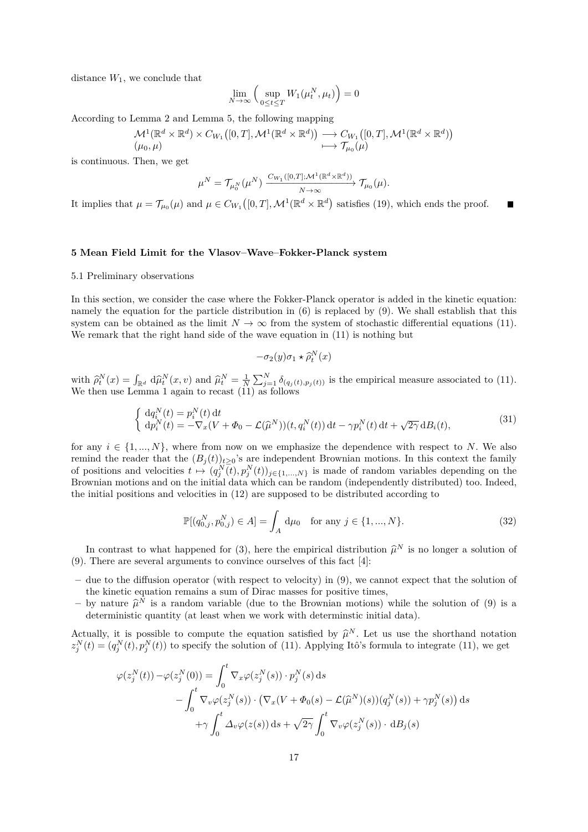distance  $W_1$ , we conclude that

$$
\lim_{N \to \infty} \left( \sup_{0 \le t \le T} W_1(\mu_t^N, \mu_t) \right) = 0
$$

According to Lemma 2 and Lemma 5, the following mapping

$$
\mathcal{M}^1(\mathbb{R}^d \times \mathbb{R}^d) \times C_{W_1}([0,T],\mathcal{M}^1(\mathbb{R}^d \times \mathbb{R}^d)) \longrightarrow C_{W_1}([0,T],\mathcal{M}^1(\mathbb{R}^d \times \mathbb{R}^d))
$$
  

$$
(\mu_0,\mu)
$$

is continuous. Then, we get

$$
\mu^N = \mathcal{T}_{\mu_0^N}(\mu^N) \xrightarrow{C_{W_1}([0,T];\mathcal{M}^1(\mathbb{R}^d \times \mathbb{R}^d))} \mathcal{T}_{\mu_0}(\mu).
$$

It implies that  $\mu = \mathcal{T}_{\mu_0}(\mu)$  and  $\mu \in C_{W_1}([0,T], \mathcal{M}^1(\mathbb{R}^d \times \mathbb{R}^d))$  satisfies (19), which ends the proof.

### **5 Mean Field Limit for the Vlasov–Wave–Fokker-Planck system**

### 5.1 Preliminary observations

In this section, we consider the case where the Fokker-Planck operator is added in the kinetic equation: namely the equation for the particle distribution in (6) is replaced by (9). We shall establish that this system can be obtained as the limit  $N \to \infty$  from the system of stochastic differential equations (11). We remark that the right hand side of the wave equation in (11) is nothing but

$$
-\sigma_2(y)\sigma_1 \star \widehat{\rho}_t^N(x)
$$

with  $\hat{\rho}_t^N(x) = \int_{\mathbb{R}^d} d\hat{\mu}_t^N(x, v)$  and  $\hat{\mu}_t^N = \frac{1}{N} \sum_{j=1}^N \delta_{(q_j(t), p_j(t))}$  is the empirical measure associated to (11). We then use Lemma 1 again to recast (11) as follows

$$
\begin{cases} d q_i^N(t) = p_i^N(t) dt \\ d p_i^N(t) = -\nabla_x (V + \Phi_0 - \mathcal{L}(\hat{\mu}^N))(t, q_i^N(t)) dt - \gamma p_i^N(t) dt + \sqrt{2\gamma} dB_i(t), \end{cases}
$$
(31)

for any  $i \in \{1, ..., N\}$ , where from now on we emphasize the dependence with respect to *N*. We also remind the reader that the  $(B_j(t))_{t\geq 0}$ 's are independent Brownian motions. In this context the family of positions and velocities  $t \mapsto (q_j^N(t), p_j^N(t))_{j \in \{1,\ldots,N\}}$  is made of random variables depending on the Brownian motions and on the initial data which can be random (independently distributed) too. Indeed, the initial positions and velocities in (12) are supposed to be distributed according to

$$
\mathbb{P}[(q_{0,j}^N, p_{0,j}^N) \in A] = \int_A d\mu_0 \quad \text{for any } j \in \{1, ..., N\}.
$$
 (32)

In contrast to what happened for (3), here the empirical distribution  $\hat{\mu}^N$  is no longer a solution of There are sourced arguments to convince ourselies of this fact [4]. (9). There are several arguments to convince ourselves of this fact [4]:

- **–** due to the diffusion operator (with respect to velocity) in (9), we cannot expect that the solution of the kinetic equation remains a sum of Dirac masses for positive times,
- by nature  $\hat{\mu}^N$  is a random variable (due to the Brownian motions) while the solution of (9) is a deterministic quantity (et least when we work with deterministic initial data) deterministic quantity (at least when we work with determinstic initial data).

Actually, it is possible to compute the equation satisfied by  $\hat{\mu}^N$ . Let us use the shorthand notation  $\hat{\mu}^N(t) - (\alpha^N(t), \alpha^N(t))$  to aposify the solution of (11). Applying H<sub>0</sub><sup>2</sup> formula to integrate (11) we get  $z_j^N(t) = (q_j^N(t), p_j^N(t))$  to specify the solution of (11). Applying Itô's formula to integrate (11), we get

$$
\varphi(z_j^N(t)) - \varphi(z_j^N(0)) = \int_0^t \nabla_x \varphi(z_j^N(s)) \cdot p_j^N(s) ds
$$
  
- 
$$
\int_0^t \nabla_v \varphi(z_j^N(s)) \cdot (\nabla_x (V + \Phi_0(s) - \mathcal{L}(\widehat{\mu}^N)(s)) (q_j^N(s)) + \gamma p_j^N(s)) ds
$$
  
+ 
$$
\gamma \int_0^t \Delta_v \varphi(z(s)) ds + \sqrt{2\gamma} \int_0^t \nabla_v \varphi(z_j^N(s)) \cdot dB_j(s)
$$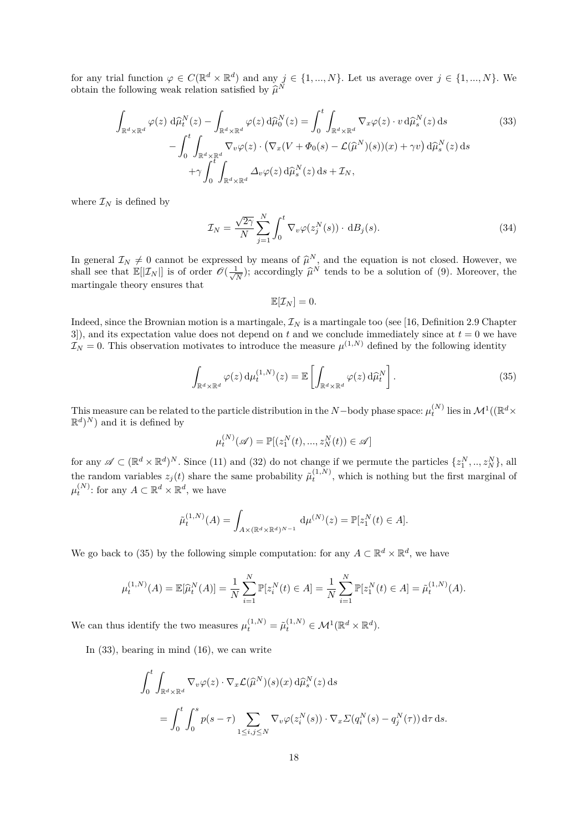for any trial function  $\varphi \in C(\mathbb{R}^d \times \mathbb{R}^d)$  and any  $j \in \{1, ..., N\}$ . Let us average over  $j \in \{1, ..., N\}$ . We obtain the following weak relation satisfied by  $\widehat{\mu}^N$ 

$$
\int_{\mathbb{R}^d \times \mathbb{R}^d} \varphi(z) \, d\widehat{\mu}_t^N(z) - \int_{\mathbb{R}^d \times \mathbb{R}^d} \varphi(z) \, d\widehat{\mu}_0^N(z) = \int_0^t \int_{\mathbb{R}^d \times \mathbb{R}^d} \nabla_x \varphi(z) \cdot v \, d\widehat{\mu}_s^N(z) \, ds \qquad (33)
$$
\n
$$
- \int_0^t \int_{\mathbb{R}^d \times \mathbb{R}^d} \nabla_v \varphi(z) \cdot (\nabla_x (V + \Phi_0(s) - \mathcal{L}(\widehat{\mu}^N)(s))(x) + \gamma v) \, d\widehat{\mu}_s^N(z) \, ds \qquad + \gamma \int_0^t \int_{\mathbb{R}^d \times \mathbb{R}^d} \Delta_v \varphi(z) \, d\widehat{\mu}_s^N(z) \, ds + \mathcal{I}_N,
$$

where  $\mathcal{I}_N$  is defined by

$$
\mathcal{I}_N = \frac{\sqrt{2\gamma}}{N} \sum_{j=1}^N \int_0^t \nabla_v \varphi(z_j^N(s)) \cdot \mathrm{d}B_j(s). \tag{34}
$$

In general  $\mathcal{I}_N \neq 0$  cannot be expressed by means of  $\hat{\mu}^N$ , and the equation is not closed. However, we<br>shall see that  $\mathbb{E}[\mathcal{I}_{\infty}]$  is of order  $\mathcal{O}(1, 1)$  accordingly  $\hat{\mu}^N$  tonds to be a solution of shall see that  $\mathbb{E}[|\mathcal{I}_N|]$  is of order  $\mathscr{O}(\frac{1}{\sqrt{n}})$  $\frac{1}{N}$ ; accordingly  $\widehat{\mu}^N$  tends to be a solution of (9). Moreover, the martingale theory ensures that

$$
\mathbb{E}[\mathcal{I}_N]=0.
$$

Indeed, since the Brownian motion is a martingale,  $\mathcal{I}_N$  is a martingale too (see [16, Definition 2.9 Chapter 3]), and its expectation value does not depend on  $t$  and we conclude immediately since at  $t = 0$  we have  $\mathcal{I}_N = 0$ . This observation motivates to introduce the measure  $\mu^{(1,N)}$  defined by the following identity

$$
\int_{\mathbb{R}^d \times \mathbb{R}^d} \varphi(z) \, \mathrm{d}\mu_t^{(1,N)}(z) = \mathbb{E} \left[ \int_{\mathbb{R}^d \times \mathbb{R}^d} \varphi(z) \, \mathrm{d}\widehat{\mu}_t^N \right]. \tag{35}
$$

This measure can be related to the particle distribution in the *N*−body phase space:  $\mu_t^{(N)}$  lies in  $\mathcal{M}^1((\mathbb{R}^d \times$  $\mathbb{R}^d$ <sup>N</sup>) and it is defined by

$$
\mu_t^{(N)}(\mathscr{A}) = \mathbb{P}[(z_1^N(t), ..., z_N^N(t)) \in \mathscr{A}]
$$

for any  $\mathscr{A} \subset (\mathbb{R}^d \times \mathbb{R}^d)^N$ . Since (11) and (32) do not change if we permute the particles  $\{z_1^N, ..., z_N^N\}$ , all the random variables  $z_j(t)$  share the same probability  $\tilde{\mu}_t^{(1,N)}$ , which is nothing but the first marginal of  $\mu_t^{(N)}$ : for any  $A \subset \mathbb{R}^d \times \mathbb{R}^d$ , we have

$$
\tilde{\mu}_t^{(1,N)}(A) = \int_{A \times (\mathbb{R}^d \times \mathbb{R}^d)^{N-1}} \, \mathrm{d} \mu^{(N)}(z) = \mathbb{P}[z_1^N(t) \in A].
$$

We go back to (35) by the following simple computation: for any  $A \subset \mathbb{R}^d \times \mathbb{R}^d$ , we have

$$
\mu_t^{(1,N)}(A) = \mathbb{E}[\widehat{\mu}_t^N(A)] = \frac{1}{N} \sum_{i=1}^N \mathbb{P}[z_i^N(t) \in A] = \frac{1}{N} \sum_{i=1}^N \mathbb{P}[z_1^N(t) \in A] = \tilde{\mu}_t^{(1,N)}(A).
$$

We can thus identify the two measures  $\mu_t^{(1,N)} = \tilde{\mu}_t^{(1,N)} \in \mathcal{M}^1(\mathbb{R}^d \times \mathbb{R}^d)$ .

In (33), bearing in mind (16), we can write

$$
\int_0^t \int_{\mathbb{R}^d \times \mathbb{R}^d} \nabla_v \varphi(z) \cdot \nabla_x \mathcal{L}(\widehat{\mu}^N)(s)(x) d\widehat{\mu}_s^N(z) ds
$$
  
= 
$$
\int_0^t \int_0^s p(s-\tau) \sum_{1 \le i,j \le N} \nabla_v \varphi(z_i^N(s)) \cdot \nabla_x \Sigma(q_i^N(s) - q_j^N(\tau)) d\tau ds.
$$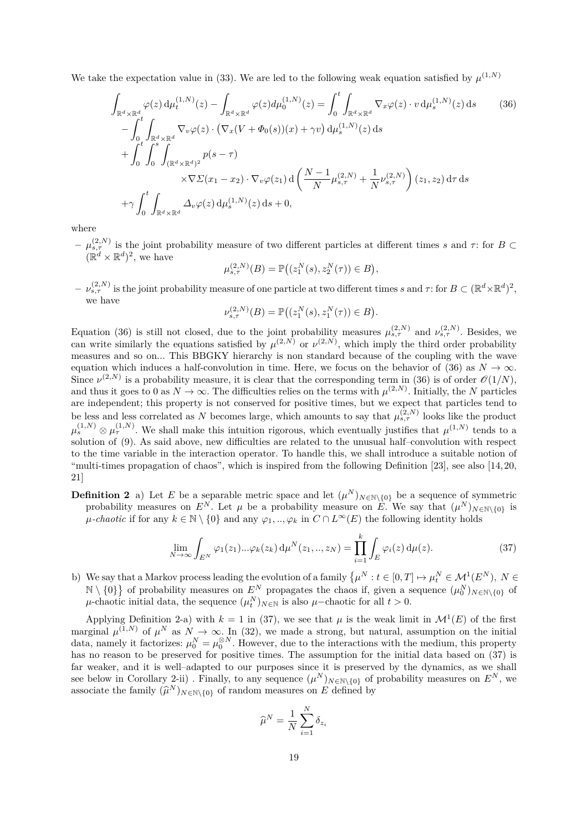We take the expectation value in (33). We are led to the following weak equation satisfied by  $\mu^{(1,N)}$ 

$$
\int_{\mathbb{R}^{d} \times \mathbb{R}^{d}} \varphi(z) d\mu_{t}^{(1,N)}(z) - \int_{\mathbb{R}^{d} \times \mathbb{R}^{d}} \varphi(z) d\mu_{0}^{(1,N)}(z) = \int_{0}^{t} \int_{\mathbb{R}^{d} \times \mathbb{R}^{d}} \nabla_{x} \varphi(z) \cdot v d\mu_{s}^{(1,N)}(z) ds \qquad (36)
$$
\n
$$
- \int_{0}^{t} \int_{\mathbb{R}^{d} \times \mathbb{R}^{d}} \nabla_{v} \varphi(z) \cdot (\nabla_{x} (V + \Phi_{0}(s))(x) + \gamma v) d\mu_{s}^{(1,N)}(z) ds
$$
\n
$$
+ \int_{0}^{t} \int_{0}^{s} \int_{(\mathbb{R}^{d} \times \mathbb{R}^{d})^{2}} p(s - \tau)
$$
\n
$$
\times \nabla \Sigma(x_{1} - x_{2}) \cdot \nabla_{v} \varphi(z_{1}) d\left(\frac{N - 1}{N} \mu_{s, \tau}^{(2,N)} + \frac{1}{N} \nu_{s, \tau}^{(2,N)}\right)(z_{1}, z_{2}) d\tau ds
$$
\n
$$
+ \gamma \int_{0}^{t} \int_{\mathbb{R}^{d} \times \mathbb{R}^{d}} \Delta_{v} \varphi(z) d\mu_{s}^{(1,N)}(z) ds + 0,
$$
\n(36)

where

 $-$  *μ*<sup>(2*,N*)</sup> is the joint probability measure of two different particles at different times *s* and *τ*: for *B* ⊂  $(\mathbb{R}^d \times \mathbb{R}^d)^2$ , we have

$$
\mu_{s,\tau}^{(2,N)}(B) = \mathbb{P}\big((z_1^N(s), z_2^N(\tau)) \in B\big),\,
$$

 $-\nu_{s,\tau}^{(2,N)}$  is the joint probability measure of one particle at two different times *s* and  $\tau$ : for  $B \subset (\mathbb{R}^d \times \mathbb{R}^d)^2$ , we have

$$
\nu_{s,\tau}^{(2,N)}(B) = \mathbb{P}\big((z_1^N(s), z_1^N(\tau)) \in B\big).
$$

Equation (36) is still not closed, due to the joint probability measures  $\mu_{s,\tau}^{(2,N)}$  and  $\nu_{s,\tau}^{(2,N)}$ . Besides, we can write similarly the equations satisfied by  $\mu^{(2,N)}$  or  $\nu^{(2,N)}$ , which imply the third order probability measures and so on... This BBGKY hierarchy is non standard because of the coupling with the wave equation which induces a half-convolution in time. Here, we focus on the behavior of (36) as  $N \to \infty$ . Since  $\nu^{(2,N)}$  is a probability measure, it is clear that the corresponding term in (36) is of order  $\mathcal{O}(1/N)$ , and thus it goes to 0 as  $N \to \infty$ . The difficulties relies on the terms with  $\mu^{(2,N)}$ . Initially, the *N* particles are independent; this property is not conserved for positive times, but we expect that particles tend to be less and less correlated as *N* becomes large, which amounts to say that  $\mu_{s,\tau}^{(2,N)}$  looks like the product  $\mu_s^{(1,N)} \otimes \mu_\tau^{(1,N)}$ . We shall make this intuition rigorous, which eventually justifies that  $\mu^{(1,N)}$  tends to a solution of (9). As said above, new difficulties are related to the unusual half–convolution with respect to the time variable in the interaction operator. To handle this, we shall introduce a suitable notion of "multi-times propagation of chaos", which is inspired from the following Definition [23], see also [14, 20, 21]

**Definition 2** a) Let *E* be a separable metric space and let  $(\mu^N)_{N \in \mathbb{N} \setminus \{0\}}$  be a sequence of symmetric probability measures on  $E^N$ . Let  $\mu$  be a probability measure on  $E$ . We say that  $(\mu^N)_{N \in \mathbb{N} \setminus \{0\}}$  is *µ-chaotic* if for any  $k \in \mathbb{N} \setminus \{0\}$  and any  $\varphi_1, \ldots, \varphi_k$  in  $C \cap L^\infty(E)$  the following identity holds

$$
\lim_{N \to \infty} \int_{E^N} \varphi_1(z_1) \dots \varphi_k(z_k) d\mu^N(z_1, \dots, z_N) = \prod_{i=1}^k \int_E \varphi_i(z) d\mu(z).
$$
 (37)

b) We say that a Markov process leading the evolution of a family  $\{\mu^N : t \in [0,T] \mapsto \mu_t^N \in \mathcal{M}^1(E^N), N \in$  $\mathbb{N} \setminus \{0\}$  of probability measures on  $E^N$  propagates the chaos if, given a sequence  $(\mu_0^N)_{N \in \mathbb{N} \setminus \{0\}}$  of  $\mu$ -chaotic initial data, the sequence  $(\mu_t^N)_{N \in \mathbb{N}}$  is also  $\mu$ -chaotic for all  $t > 0$ .

Applying Definition 2-a) with  $k = 1$  in (37), we see that  $\mu$  is the weak limit in  $\mathcal{M}^1(E)$  of the first marginal  $\mu^{(1,N)}$  of  $\mu^N$  as  $N \to \infty$ . In (32), we made a strong, but natural, assumption on the initial data, namely it factorizes:  $\mu_0^N = \mu_0^{\otimes N}$ . However, due to the interactions with the medium, this property has no reason to be preserved for positive times. The assumption for the initial data based on (37) is far weaker, and it is well–adapted to our purposes since it is preserved by the dynamics, as we shall see below in Corollary 2-ii). Finally, to any sequence  $(\mu^N)_{N \in \mathbb{N} \setminus \{0\}}$  of probability measures on  $E^N$ , we associate the family  $(\widehat{\mu}^N)_{N \in \mathbb{N} \setminus \{0\}}$  of random measures on *E* defined by

$$
\widehat{\mu}^N = \frac{1}{N} \sum_{i=1}^N \delta_{z_i}
$$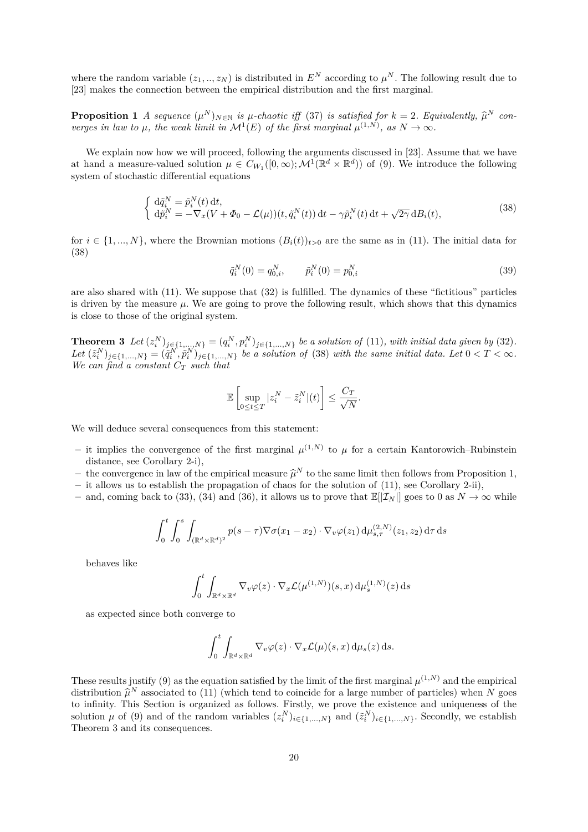where the random variable  $(z_1, ..., z_N)$  is distributed in  $E^N$  according to  $\mu^N$ . The following result due to [23] makes the connection between the empirical distribution and the first marginal.

**Proposition 1** *A sequence*  $(\mu^N)_{N \in \mathbb{N}}$  *is*  $\mu$ *-chaotic iff* (37) *is satisfied for*  $k = 2$ *. Equivalently,*  $\hat{\mu}^N$  *converges in law to*  $\mu$ *, the weak limit in*  $\mathcal{M}^1(E)$  *of the first marginal*  $\mu^{(1,N)}$ *, as*  $N \to \infty$ *.* 

We explain now how we will proceed, following the arguments discussed in [23]. Assume that we have at hand a measure-valued solution  $\mu \in C_{W_1}([0,\infty); \mathcal{M}^1(\mathbb{R}^d \times \mathbb{R}^d))$  of (9). We introduce the following system of stochastic differential equations

$$
\begin{cases} \mathrm{d}\tilde{q}_{i}^{N} = \tilde{p}_{i}^{N}(t) \, \mathrm{d}t, \\ \mathrm{d}\tilde{p}_{i}^{N} = -\nabla_{x}(V + \Phi_{0} - \mathcal{L}(\mu))(t, \tilde{q}_{i}^{N}(t)) \, \mathrm{d}t - \gamma \tilde{p}_{i}^{N}(t) \, \mathrm{d}t + \sqrt{2\gamma} \, \mathrm{d}B_{i}(t), \end{cases} \tag{38}
$$

for  $i \in \{1, ..., N\}$ , where the Brownian motions  $(B_i(t))_{t>0}$  are the same as in (11). The initial data for (38)

$$
\tilde{q}_i^N(0) = q_{0,i}^N, \qquad \tilde{p}_i^N(0) = p_{0,i}^N
$$
\n(39)

are also shared with (11). We suppose that (32) is fulfilled. The dynamics of these "fictitious" particles is driven by the measure  $\mu$ . We are going to prove the following result, which shows that this dynamics is close to those of the original system.

**Theorem 3** Let  $(z_i^N)_{j \in \{1,\ldots,N\}} = (q_i^N, p_i^N)_{j \in \{1,\ldots,N\}}$  be a solution of (11), with initial data given by (32). Let  $(\tilde{z}_i^N)_{j \in \{1,\dots,N\}} = (\tilde{q}_i^N, \tilde{p}_i^N)_{j \in \{1,\dots,N\}}$  be a solution of (38) with the same initial data. Let  $0 < T < \infty$ . *We can find a constant C<sup>T</sup> such that*

$$
\mathbb{E}\left[\sup_{0\leq t\leq T}|z_i^N-\tilde{z}_i^N|(t)\right]\leq \frac{C_T}{\sqrt{N}}.
$$

We will deduce several consequences from this statement:

- it implies the convergence of the first marginal  $\mu^{(1,N)}$  to  $\mu$  for a certain Kantorowich–Rubinstein distance, see Corollary 2-i),
- the convergence in law of the empirical measure  $\hat{\mu}^N$  to the same limit then follows from Proposition 1,<br>in allows us to establish the proposation of chaos for the solution of (11), see Corollary 2 ii)
- **–** it allows us to establish the propagation of chaos for the solution of (11), see Corollary 2-ii),
- **–** and, coming back to (33), (34) and (36), it allows us to prove that E[|I*<sup>N</sup>* |] goes to 0 as *N* → ∞ while

$$
\int_0^t \int_0^s \int_{(\mathbb{R}^d \times \mathbb{R}^d)^2} p(s-\tau) \nabla \sigma(x_1 - x_2) \cdot \nabla_v \varphi(z_1) d\mu_{s,\tau}^{(2,N)}(z_1, z_2) d\tau ds
$$

behaves like

$$
\int_0^t \int_{\mathbb{R}^d \times \mathbb{R}^d} \nabla_v \varphi(z) \cdot \nabla_x \mathcal{L}(\mu^{(1,N)})(s,x) \,d\mu_s^{(1,N)}(z) \,ds
$$

as expected since both converge to

$$
\int_0^t \int_{\mathbb{R}^d \times \mathbb{R}^d} \nabla_v \varphi(z) \cdot \nabla_x \mathcal{L}(\mu)(s, x) \, \mathrm{d}\mu_s(z) \, \mathrm{d}s.
$$

These results justify (9) as the equation satisfied by the limit of the first marginal  $\mu^{(1,N)}$  and the empirical distribution  $\hat{\mu}^N$  associated to (11) (which tend to coincide for a large number of particles) when *N* goes to infinity. This Section is examined as follows. Einsthy we prove the existence and uniqueness of the to infinity. This Section is organized as follows. Firstly, we prove the existence and uniqueness of the solution  $\mu$  of (9) and of the random variables  $(z_i^N)_{i \in \{1,\dots,N\}}$  and  $(\tilde{z}_i^N)_{i \in \{1,\dots,N\}}$ . Secondly, we establish Theorem 3 and its consequences.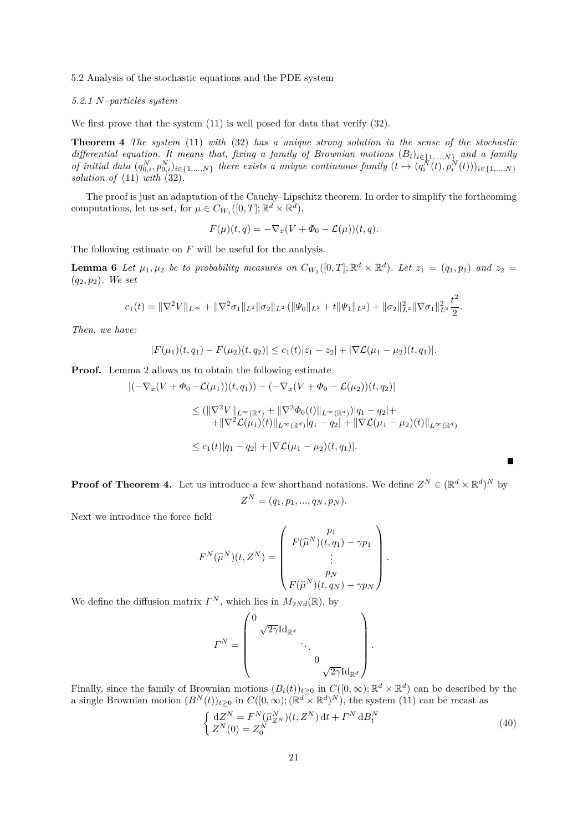# 5.2 Analysis of the stochastic equations and the PDE system

# *5.2.1 N–particles system*

We first prove that the system  $(11)$  is well posed for data that verify  $(32)$ .

**Theorem 4** *The system* (11) *with* (32) *has a unique strong solution in the sense of the stochastic differential equation. It means that, fixing a family of Brownian motions*  $(B_i)_{i \in \{1,...,N\}}$  *and a family* of initial data  $(q_{0,i}^N, p_{0,i}^N)_{i \in \{1,\ldots,N\}}$  there exists a unique continuous family  $(t \mapsto (q_i^N(t), p_i^N(t)))_{i \in \{1,\ldots,N\}}$ *solution of* (11) *with* (32)*.*

The proof is just an adaptation of the Cauchy–Lipschitz theorem. In order to simplify the forthcoming computations, let us set, for  $\mu \in C_{W_1}([0, T]; \mathbb{R}^d \times \mathbb{R}^d)$ ,

$$
F(\mu)(t,q) = -\nabla_x (V + \Phi_0 - \mathcal{L}(\mu))(t,q).
$$

The following estimate on *F* will be useful for the analysis.

**Lemma 6** Let  $\mu_1, \mu_2$  be to probability measures on  $C_{W_1}([0,T]; \mathbb{R}^d \times \mathbb{R}^d)$ . Let  $z_1 = (q_1, p_1)$  and  $z_2 =$ (*q*2*, p*2)*. We set*

$$
c_1(t) = \|\nabla^2 V\|_{L^\infty} + \|\nabla^2 \sigma_1\|_{L^2} \|\sigma_2\|_{L^2} (\|\Psi_0\|_{L^2} + t \|\Psi_1\|_{L^2}) + \|\sigma_2\|_{L^2}^2 \|\nabla \sigma_1\|_{L^2}^2 \frac{t^2}{2}.
$$

*Then, we have:*

$$
|F(\mu_1)(t,q_1)-F(\mu_2)(t,q_2)|\leq c_1(t)|z_1-z_2|+|\nabla \mathcal{L}(\mu_1-\mu_2)(t,q_1)|.
$$

**Proof.** Lemma 2 allows us to obtain the following estimate

$$
\begin{aligned} |(-\nabla_x (V + \Phi_0 - \mathcal{L}(\mu_1))(t, q_1)) - (-\nabla_x (V + \Phi_0 - \mathcal{L}(\mu_2))(t, q_2)| \\ &\le (||\nabla^2 V||_{L^{\infty}(\mathbb{R}^d)} + ||\nabla^2 \Phi_0(t)||_{L^{\infty}(\mathbb{R}^d)})|q_1 - q_2| + \\ &\qquad + ||\nabla^2 \mathcal{L}(\mu_1)(t)||_{L^{\infty}(\mathbb{R}^d)}|q_1 - q_2| + ||\nabla \mathcal{L}(\mu_1 - \mu_2)(t)||_{L^{\infty}(\mathbb{R}^d)} \\ &\le c_1(t)|q_1 - q_2| + |\nabla \mathcal{L}(\mu_1 - \mu_2)(t, q_1)|. \end{aligned}
$$

**Proof of Theorem 4.** Let us introduce a few shorthand notations. We define  $Z^N \in (\mathbb{R}^d \times \mathbb{R}^d)^N$  by

$$
Z^N = (q_1, p_1, ..., q_N, p_N).
$$

Next we introduce the force field

$$
F^{N}(\widehat{\mu}^{N})(t, Z^{N}) = \begin{pmatrix} p_{1} \\ F(\widehat{\mu}^{N})(t, q_{1}) - \gamma p_{1} \\ \vdots \\ p_{N} \\ F(\widehat{\mu}^{N})(t, q_{N}) - \gamma p_{N} \end{pmatrix}.
$$

We define the diffusion matrix  $\Gamma^N$ , which lies in  $M_{2Nd}(\mathbb{R})$ , by

$$
\varGamma^N = \begin{pmatrix} 0 & & & \\ & \sqrt{2\gamma} \mathrm{Id}_{\mathbb{R}^d} & & \\ & & \ddots & \\ & & & 0 \\ & & & & \sqrt{2\gamma} \mathrm{Id}_{\mathbb{R}^d} \end{pmatrix}.
$$

Finally, since the family of Brownian motions  $(B_i(t))_{t\geq 0}$  in  $C([0,\infty);\mathbb{R}^d \times \mathbb{R}^d)$  can be described by the a single Brownian motion  $(B^N(t))_{t\geq 0}$  in  $C([0,\infty); (\mathbb{R}^d \times \mathbb{R}^d)^N)$ , the system (11) can be recast as

$$
\begin{cases} dZ^{N} = F^{N}(\hat{\mu}_{Z^{N}}^{N})(t, Z^{N}) dt + \Gamma^{N} dB_{t}^{N} \\ Z^{N}(0) = Z_{0}^{N} \end{cases}
$$
\n(40)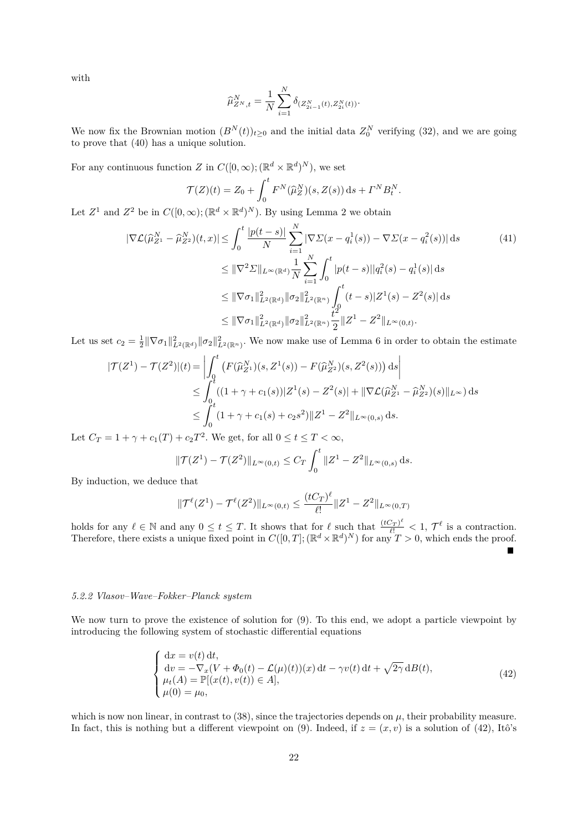with

$$
\widehat{\mu}_{Z^N,t}^N = \frac{1}{N} \sum_{i=1}^N \delta_{(Z_{2i-1}^N(t), Z_{2i}^N(t))}.
$$

We now fix the Brownian motion  $(B^N(t))_{t\geq 0}$  and the initial data  $Z_0^N$  verifying (32), and we are going to prove that (40) has a unique solution.

For any continuous function *Z* in  $C([0,\infty); (\mathbb{R}^d \times \mathbb{R}^d)^N)$ , we set

$$
\mathcal{T}(Z)(t) = Z_0 + \int_0^t F^N(\widehat{\mu}_Z^N)(s, Z(s)) \, ds + \Gamma^N B_t^N.
$$

Let  $Z^1$  and  $Z^2$  be in  $C([0,\infty); (\mathbb{R}^d \times \mathbb{R}^d)^N)$ . By using Lemma 2 we obtain

$$
|\nabla \mathcal{L}(\widehat{\mu}_{Z^{1}}^{N} - \widehat{\mu}_{Z^{2}}^{N})(t,x)| \leq \int_{0}^{t} \frac{|p(t-s)|}{N} \sum_{i=1}^{N} |\nabla \Sigma(x - q_{i}^{1}(s)) - \nabla \Sigma(x - q_{i}^{2}(s))| ds \tag{41}
$$
  

$$
\leq \|\nabla^{2} \Sigma\|_{L^{\infty}(\mathbb{R}^{d})} \frac{1}{N} \sum_{i=1}^{N} \int_{0}^{t} |p(t-s)||q_{i}^{2}(s) - q_{i}^{1}(s)| ds
$$
  

$$
\leq \|\nabla \sigma_{1}\|_{L^{2}(\mathbb{R}^{d})}^{2} \|\sigma_{2}\|_{L^{2}(\mathbb{R}^{n})}^{2} \int_{0}^{t} (t-s)|Z^{1}(s) - Z^{2}(s)| ds
$$
  

$$
\leq \|\nabla \sigma_{1}\|_{L^{2}(\mathbb{R}^{d})}^{2} \|\sigma_{2}\|_{L^{2}(\mathbb{R}^{n})}^{2} \frac{t^{2}}{2} \|Z^{1} - Z^{2}\|_{L^{\infty}(0,t)}.
$$

Let us set  $c_2 = \frac{1}{2} \|\nabla \sigma_1\|_{L^2(\mathbb{R}^d)}^2 \|\sigma_2\|_{L^2(\mathbb{R}^n)}^2$ . We now make use of Lemma 6 in order to obtain the estimate

$$
|\mathcal{T}(Z^1) - \mathcal{T}(Z^2)|(t) = \left| \int_0^t \left( F(\hat{\mu}_{Z^1}^N)(s, Z^1(s)) - F(\hat{\mu}_{Z^2}^N)(s, Z^2(s)) \right) ds \right|
$$
  
\n
$$
\leq \int_0^t ((1 + \gamma + c_1(s))|Z^1(s) - Z^2(s)| + \|\nabla \mathcal{L}(\hat{\mu}_{Z^1}^N - \hat{\mu}_{Z^2}^N)(s)\|_{L^\infty}) ds
$$
  
\n
$$
\leq \int_0^t (1 + \gamma + c_1(s) + c_2 s^2) \|Z^1 - Z^2\|_{L^\infty(0, s)} ds.
$$

Let  $C_T = 1 + \gamma + c_1(T) + c_2 T^2$ . We get, for all  $0 \le t \le T < \infty$ ,

$$
\|\mathcal{T}(Z^1) - \mathcal{T}(Z^2)\|_{L^{\infty}(0,t)} \le C_T \int_0^t \|Z^1 - Z^2\|_{L^{\infty}(0,s)} ds.
$$

By induction, we deduce that

$$
\|\mathcal{T}^{\ell}(Z^{1}) - \mathcal{T}^{\ell}(Z^{2})\|_{L^{\infty}(0,t)} \leq \frac{(tC_T)^{\ell}}{\ell!} \|Z^{1} - Z^{2}\|_{L^{\infty}(0,T)}
$$

holds for any  $\ell \in \mathbb{N}$  and any  $0 \le t \le T$ . It shows that for  $\ell$  such that  $\frac{(tC_T)^{\ell}}{\ell!} < 1$ ,  $\mathcal{T}^{\ell}$  is a contraction. Therefore, there exists a unique fixed point in  $C([0,T]; (\mathbb{R}^d \times \mathbb{R}^d)^N)$  for any  $T > 0$ , which ends the proof.

# *5.2.2 Vlasov–Wave–Fokker–Planck system*

We now turn to prove the existence of solution for  $(9)$ . To this end, we adopt a particle viewpoint by introducing the following system of stochastic differential equations

$$
\begin{cases}\ndx = v(t) dt, \ndv = -\nabla_x (V + \Phi_0(t) - \mathcal{L}(\mu)(t))(x) dt - \gamma v(t) dt + \sqrt{2\gamma} dB(t), \n\mu_t(A) = \mathbb{P}[(x(t), v(t)) \in A], \n\mu(0) = \mu_0,\n\end{cases}
$$
\n(42)

Ē.

which is now non linear, in contrast to  $(38)$ , since the trajectories depends on  $\mu$ , their probability measure. In fact, this is nothing but a different viewpoint on (9). Indeed, if  $z = (x, v)$  is a solution of (42), Itô's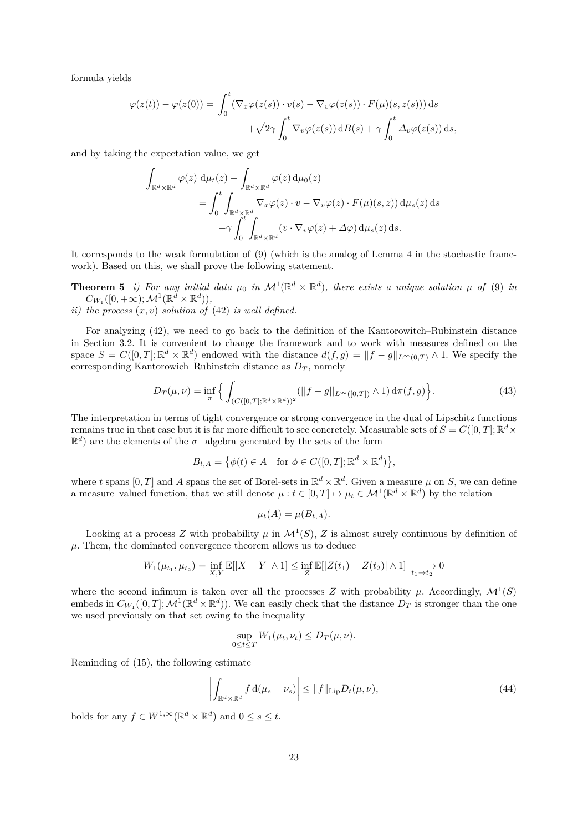formula yields

$$
\varphi(z(t)) - \varphi(z(0)) = \int_0^t (\nabla_x \varphi(z(s)) \cdot v(s) - \nabla_v \varphi(z(s)) \cdot F(\mu)(s, z(s))) ds
$$

$$
+ \sqrt{2\gamma} \int_0^t \nabla_v \varphi(z(s)) dB(s) + \gamma \int_0^t \Delta_v \varphi(z(s)) ds,
$$

and by taking the expectation value, we get

$$
\int_{\mathbb{R}^d \times \mathbb{R}^d} \varphi(z) d\mu_t(z) - \int_{\mathbb{R}^d \times \mathbb{R}^d} \varphi(z) d\mu_0(z)
$$
\n
$$
= \int_0^t \int_{\mathbb{R}^d \times \mathbb{R}^d} \nabla_x \varphi(z) \cdot v - \nabla_v \varphi(z) \cdot F(\mu)(s, z) d\mu_s(z) ds
$$
\n
$$
- \gamma \int_0^t \int_{\mathbb{R}^d \times \mathbb{R}^d} (v \cdot \nabla_v \varphi(z) + \Delta \varphi) d\mu_s(z) ds.
$$

It corresponds to the weak formulation of (9) (which is the analog of Lemma 4 in the stochastic framework). Based on this, we shall prove the following statement.

**Theorem 5** *i)* For any initial data  $\mu_0$  in  $\mathcal{M}^1(\mathbb{R}^d \times \mathbb{R}^d)$ , there exists a unique solution  $\mu$  of (9) in  $C_{W_1}([0,+\infty); \mathcal{M}^1(\mathbb{R}^d \times \mathbb{R}^d)),$ 

*ii) the process* (*x, v*) *solution of* (42) *is well defined.*

For analyzing (42), we need to go back to the definition of the Kantorowitch–Rubinstein distance in Section 3.2. It is convenient to change the framework and to work with measures defined on the space  $S = C([0, T]; \mathbb{R}^d \times \mathbb{R}^d)$  endowed with the distance  $d(f, g) = ||f - g||_{L^{\infty}(0,T)} \wedge 1$ . We specify the corresponding Kantorowich–Rubinstein distance as  $D_T$ , namely

$$
D_T(\mu, \nu) = \inf_{\pi} \left\{ \int_{(C([0,T]; \mathbb{R}^d \times \mathbb{R}^d))^2} (||f - g||_{L^{\infty}([0,T])} \wedge 1) d\pi(f, g) \right\}.
$$
 (43)

The interpretation in terms of tight convergence or strong convergence in the dual of Lipschitz functions remains true in that case but it is far more difficult to see concretely. Measurable sets of  $S = C([0, T]; \mathbb{R}^d \times$ R *d* ) are the elements of the *σ*−algebra generated by the sets of the form

$$
B_{t,A} = \big\{ \phi(t) \in A \quad \text{for } \phi \in C([0,T]; \mathbb{R}^d \times \mathbb{R}^d) \big\},
$$

where t spans  $[0, T]$  and A spans the set of Borel-sets in  $\mathbb{R}^d \times \mathbb{R}^d$ . Given a measure  $\mu$  on S, we can define a measure–valued function, that we still denote  $\mu : t \in [0, T] \mapsto \mu_t \in \mathcal{M}^1(\mathbb{R}^d \times \mathbb{R}^d)$  by the relation

$$
\mu_t(A) = \mu(B_{t,A}).
$$

Looking at a process *Z* with probability  $\mu$  in  $\mathcal{M}^1(S)$ , *Z* is almost surely continuous by definition of  $\mu$ . Them, the dominated convergence theorem allows us to deduce

$$
W_1(\mu_{t_1}, \mu_{t_2}) = \inf_{X,Y} \mathbb{E}[|X - Y| \wedge 1] \le \inf_{Z} \mathbb{E}[|Z(t_1) - Z(t_2)| \wedge 1] \xrightarrow[t_1 \to t_2]{} 0
$$

where the second infimum is taken over all the processes *Z* with probability  $\mu$ . Accordingly,  $\mathcal{M}^1(S)$ embeds in  $C_{W_1}([0,T]; \mathcal{M}^1(\mathbb{R}^d \times \mathbb{R}^d))$ . We can easily check that the distance  $D_T$  is stronger than the one we used previously on that set owing to the inequality

$$
\sup_{0\leq t\leq T} W_1(\mu_t,\nu_t) \leq D_T(\mu,\nu).
$$

Reminding of (15), the following estimate

$$
\left| \int_{\mathbb{R}^d \times \mathbb{R}^d} f \, d(\mu_s - \nu_s) \right| \le \|f\|_{\text{Lip}} D_t(\mu, \nu), \tag{44}
$$

holds for any  $f \in W^{1,\infty}(\mathbb{R}^d \times \mathbb{R}^d)$  and  $0 \le s \le t$ .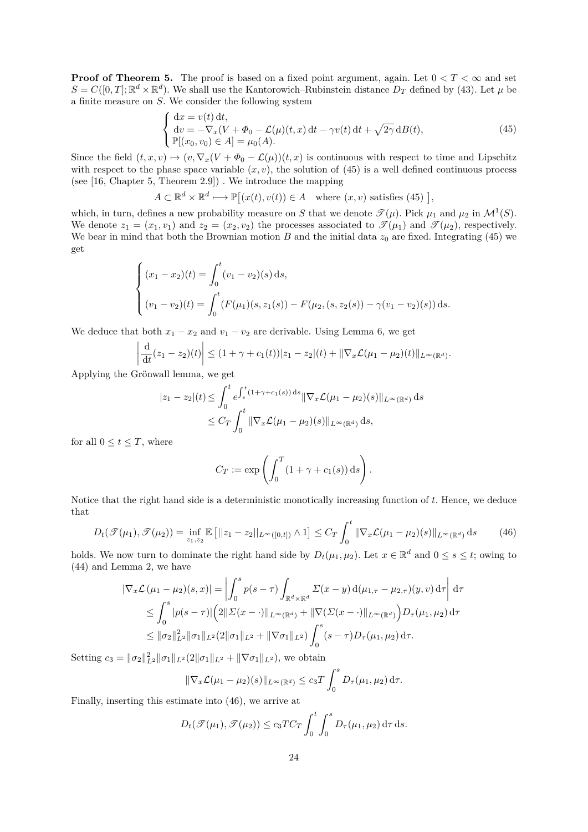**Proof of Theorem 5.** The proof is based on a fixed point argument, again. Let  $0 < T < \infty$  and set  $S = C([0, T]; \mathbb{R}^d \times \mathbb{R}^d)$ . We shall use the Kantorowich–Rubinstein distance  $D_T$  defined by (43). Let  $\mu$  be a finite measure on *S*. We consider the following system

$$
\begin{cases}\ndx = v(t) dt, \\
dv = -\nabla_x (V + \Phi_0 - \mathcal{L}(\mu)(t, x) dt - \gamma v(t) dt + \sqrt{2\gamma} dB(t), \\
\mathbb{P}[(x_0, v_0) \in A] = \mu_0(A).\n\end{cases} (45)
$$

Since the field  $(t, x, v) \mapsto (v, \nabla_x (V + \Phi_0 - \mathcal{L}(\mu))(t, x)$  is continuous with respect to time and Lipschitz with respect to the phase space variable  $(x, v)$ , the solution of  $(45)$  is a well defined continuous process (see [16, Chapter 5, Theorem 2.9]) . We introduce the mapping

$$
A \subset \mathbb{R}^d \times \mathbb{R}^d \longmapsto \mathbb{P}[(x(t), v(t)) \in A \quad \text{where } (x, v) \text{ satisfies (45)}],
$$

which, in turn, defines a new probability measure on *S* that we denote  $\mathcal{T}(\mu)$ . Pick  $\mu_1$  and  $\mu_2$  in  $\mathcal{M}^1(S)$ . We denote  $z_1 = (x_1, v_1)$  and  $z_2 = (x_2, v_2)$  the processes associated to  $\mathscr{T}(\mu_1)$  and  $\mathscr{T}(\mu_2)$ , respectively. We bear in mind that both the Brownian motion  $B$  and the initial data  $z_0$  are fixed. Integrating (45) we get

$$
\begin{cases}\n(x_1 - x_2)(t) = \int_0^t (v_1 - v_2)(s) ds, \\
(v_1 - v_2)(t) = \int_0^t (F(\mu_1)(s, z_1(s)) - F(\mu_2, (s, z_2(s)) - \gamma(v_1 - v_2)(s)) ds.\n\end{cases}
$$

We deduce that both  $x_1 - x_2$  and  $v_1 - v_2$  are derivable. Using Lemma 6, we get

$$
\frac{\mathrm{d}}{\mathrm{d}t}(z_1-z_2)(t)\bigg|\leq (1+\gamma+c_1(t))|z_1-z_2|(t)+\|\nabla_x \mathcal{L}(\mu_1-\mu_2)(t)\|_{L^{\infty}(\mathbb{R}^d)}.
$$

Applying the Grönwall lemma, we get

 $\overline{\phantom{a}}$  $\overline{\phantom{a}}$  $\overline{\phantom{a}}$  $\overline{\phantom{a}}$ 

$$
|z_1 - z_2| (t) \le \int_0^t e^{\int_s^t (1 + \gamma + c_1(s)) ds} ||\nabla_x \mathcal{L}(\mu_1 - \mu_2)(s)||_{L^\infty(\mathbb{R}^d)} ds
$$
  
 
$$
\le C_T \int_0^t ||\nabla_x \mathcal{L}(\mu_1 - \mu_2)(s)||_{L^\infty(\mathbb{R}^d)} ds,
$$

for all  $0 \le t \le T$ , where

$$
C_T := \exp\left(\int_0^T (1 + \gamma + c_1(s)) \, ds\right).
$$

Notice that the right hand side is a deterministic monotically increasing function of *t*. Hence, we deduce that

$$
D_t(\mathcal{T}(\mu_1), \mathcal{T}(\mu_2)) = \inf_{z_1, z_2} \mathbb{E}\left[||z_1 - z_2||_{L^{\infty}([0, t])} \wedge 1\right] \le C_T \int_0^t \|\nabla_x \mathcal{L}(\mu_1 - \mu_2)(s)\|_{L^{\infty}(\mathbb{R}^d)} ds \tag{46}
$$

holds. We now turn to dominate the right hand side by  $D_t(\mu_1, \mu_2)$ . Let  $x \in \mathbb{R}^d$  and  $0 \le s \le t$ ; owing to (44) and Lemma 2, we have

$$
|\nabla_x \mathcal{L}(\mu_1 - \mu_2)(s, x)| = \left| \int_0^s p(s - \tau) \int_{\mathbb{R}^d \times \mathbb{R}^d} \Sigma(x - y) d(\mu_{1, \tau} - \mu_{2, \tau})(y, v) d\tau \right| d\tau
$$
  
\n
$$
\leq \int_0^s |p(s - \tau)| \left( 2\| \Sigma(x - \cdot) \|_{L^\infty(\mathbb{R}^d)} + \|\nabla(\Sigma(x - \cdot) \|_{L^\infty(\mathbb{R}^d)}) D_\tau(\mu_1, \mu_2) d\tau \right)
$$
  
\n
$$
\leq \|\sigma_2\|_{L^2}^2 \|\sigma_1\|_{L^2} (2\|\sigma_1\|_{L^2} + \|\nabla \sigma_1\|_{L^2}) \int_0^s (s - \tau) D_\tau(\mu_1, \mu_2) d\tau.
$$

Setting  $c_3 = {\|\sigma_2\|_{L^2}^2 \|\sigma_1\|_{L^2}} (2{\|\sigma_1\|_{L^2}} + {\|\nabla \sigma_1\|_{L^2}})$ , we obtain

$$
\|\nabla_x \mathcal{L}(\mu_1 - \mu_2)(s)\|_{L^\infty(\mathbb{R}^d)} \le c_3 T \int_0^s D_\tau(\mu_1, \mu_2) d\tau.
$$

Finally, inserting this estimate into (46), we arrive at

$$
D_t(\mathcal{T}(\mu_1), \mathcal{T}(\mu_2)) \le c_3 T C_T \int_0^t \int_0^s D_\tau(\mu_1, \mu_2) d\tau ds.
$$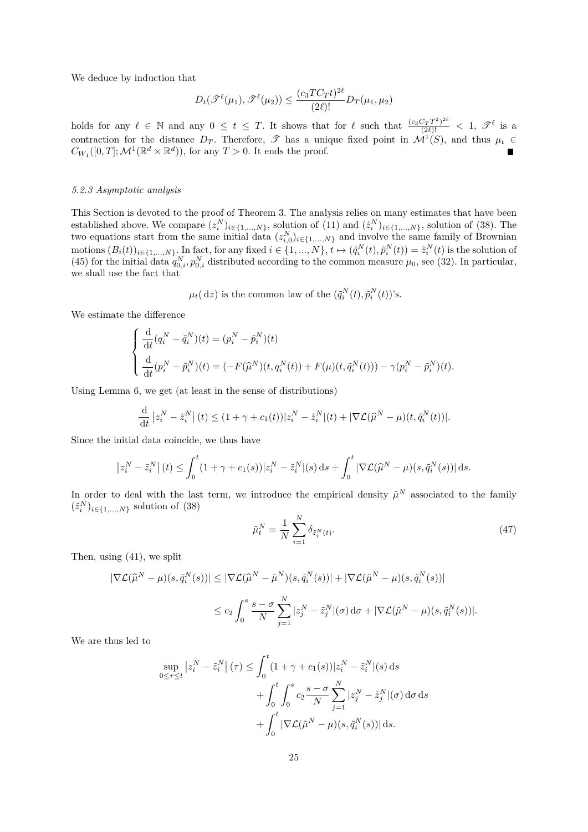We deduce by induction that

$$
D_t(\mathcal{F}^{\ell}(\mu_1), \mathcal{F}^{\ell}(\mu_2)) \le \frac{(c_3TC_Tt)^{2\ell}}{(2\ell)!}D_T(\mu_1, \mu_2)
$$

holds for any  $\ell \in \mathbb{N}$  and any  $0 \le t \le T$ . It shows that for  $\ell$  such that  $\frac{(c_3 C_T T^2)^{2\ell}}{(2\ell)!} < 1$ ,  $\mathscr{T}^{\ell}$  is a contraction for the distance  $D_T$ . Therefore,  $\mathscr T$  has a unique fixed point in  $\mathcal M^1(S)$ , and thus  $\mu_t \in$  $C_{W_1}([0, T]; \mathcal{M}^1(\mathbb{R}^d \times \mathbb{R}^d))$ , for any  $T > 0$ . It ends the proof.

# *5.2.3 Asymptotic analysis*

This Section is devoted to the proof of Theorem 3. The analysis relies on many estimates that have been established above. We compare  $(z_i^N)_{i \in \{1,\ldots,N\}}$ , solution of  $(11)$  and  $(\tilde{z}_i^N)_{i \in \{1,\ldots,N\}}$ , solution of  $(38)$ . The two equations start from the same initial data  $(z_{i,0}^N)_{i\in\{1,\ldots,N\}}$  and involve the same family of Brownian motions  $(B_i(t))_{i\in\{1,\ldots,N\}}$ . In fact, for any fixed  $i\in\{1,\ldots,N\}$ ,  $t\mapsto(\tilde{q}_i^N(t),\tilde{p}_i^N(t))=\tilde{z}_i^N(t)$  is the solution of (45) for the initial data  $q_{0,i}^N, p_{0,i}^N$  distributed according to the common measure  $\mu_0$ , see (32). In particular, we shall use the fact that

 $\mu_t$ (dz) is the common law of the  $(\tilde{q}_i^N(t), \tilde{p}_i^N(t))$ 's.

We estimate the difference

$$
\begin{cases}\n\frac{\mathrm{d}}{\mathrm{d}t}(q_i^N - \tilde{q}_i^N)(t) = (p_i^N - \tilde{p}_i^N)(t) \\
\frac{\mathrm{d}}{\mathrm{d}t}(p_i^N - \tilde{p}_i^N)(t) = (-F(\hat{\mu}^N)(t, q_i^N(t)) + F(\mu)(t, \tilde{q}_i^N(t))) - \gamma(p_i^N - \tilde{p}_i^N)(t).\n\end{cases}
$$

Using Lemma 6, we get (at least in the sense of distributions)

$$
\frac{\mathrm{d}}{\mathrm{d}t}|z_i^N - \tilde{z}_i^N|(t) \le (1 + \gamma + c_1(t))|z_i^N - \tilde{z}_i^N|(t) + |\nabla \mathcal{L}(\widehat{\mu}^N - \mu)(t, \tilde{q}_i^N(t))|.
$$

Since the initial data coincide, we thus have

$$
\left|z_i^N - \tilde{z}_i^N\right|(t) \le \int_0^t (1 + \gamma + c_1(s))|z_i^N - \tilde{z}_i^N|(s) \, ds + \int_0^t |\nabla \mathcal{L}(\widehat{\mu}^N - \mu)(s, \tilde{q}_i^N(s))| \, ds.
$$

In order to deal with the last term, we introduce the empirical density  $\tilde{\mu}^N$  associated to the family  $(\tilde{z}_i^N)_{i \in \{1,\ldots,N\}}$  solution of (38)

$$
\tilde{\mu}_t^N = \frac{1}{N} \sum_{i=1}^N \delta_{\tilde{z}_i^N(t)}.
$$
\n(47)

Then, using (41), we split

$$
\begin{aligned} |\nabla \mathcal{L}(\widehat{\mu}^N - \mu)(s, \tilde{q}_i^N(s))| &\leq |\nabla \mathcal{L}(\widehat{\mu}^N - \tilde{\mu}^N)(s, \tilde{q}_i^N(s))| + |\nabla \mathcal{L}(\tilde{\mu}^N - \mu)(s, \tilde{q}_i^N(s))| \\ &\leq c_2 \int_0^s \frac{s - \sigma}{N} \sum_{j=1}^N |z_j^N - \tilde{z}_j^N|(\sigma) \, \mathrm{d}\sigma + |\nabla \mathcal{L}(\tilde{\mu}^N - \mu)(s, \tilde{q}_i^N(s))|. \end{aligned}
$$

We are thus led to

$$
\sup_{0 \le \tau \le t} |z_i^N - \tilde{z}_i^N| (\tau) \le \int_0^t (1 + \gamma + c_1(s)) |z_i^N - \tilde{z}_i^N| (s) ds
$$
  
+ 
$$
\int_0^t \int_0^s c_2 \frac{s - \sigma}{N} \sum_{j=1}^N |z_j^N - \tilde{z}_j^N| (\sigma) d\sigma ds
$$
  
+ 
$$
\int_0^t |\nabla \mathcal{L}(\tilde{\mu}^N - \mu)(s, \tilde{q}_i^N(s))| ds.
$$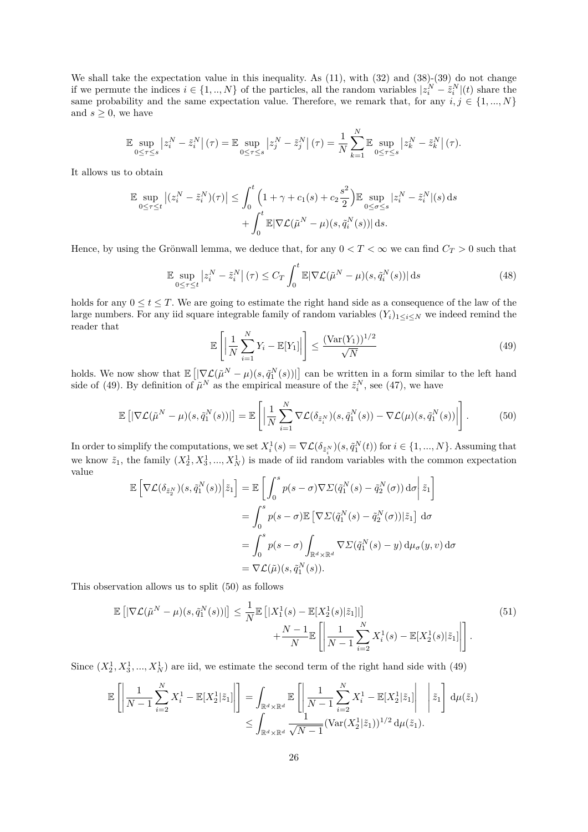We shall take the expectation value in this inequality. As (11), with (32) and (38)-(39) do not change if we permute the indices  $i \in \{1, ..., N\}$  of the particles, all the random variables  $|z_i^N - \tilde{z}_i^N|(t)$  share the same probability and the same expectation value. Therefore, we remark that, for any  $i, j \in \{1, ..., N\}$ and  $s \geq 0$ , we have

$$
\mathbb{E}\sup_{0\leq\tau\leq s}\left|z_i^N-\tilde{z}_i^N\right|(\tau)=\mathbb{E}\sup_{0\leq\tau\leq s}\left|z_j^N-\tilde{z}_j^N\right|(\tau)=\frac{1}{N}\sum_{k=1}^N\mathbb{E}\sup_{0\leq\tau\leq s}\left|z_k^N-\tilde{z}_k^N\right|(\tau).
$$

It allows us to obtain

$$
\mathbb{E} \sup_{0 \le \tau \le t} \left| (z_i^N - \tilde{z}_i^N)(\tau) \right| \le \int_0^t \left( 1 + \gamma + c_1(s) + c_2 \frac{s^2}{2} \right) \mathbb{E} \sup_{0 \le \sigma \le s} |z_i^N - \tilde{z}_i^N|(s) ds
$$

$$
+ \int_0^t \mathbb{E} |\nabla \mathcal{L}(\tilde{\mu}^N - \mu)(s, \tilde{q}_i^N(s))| ds.
$$

Hence, by using the Grönwall lemma, we deduce that, for any  $0 < T < \infty$  we can find  $C_T > 0$  such that

$$
\mathbb{E} \sup_{0 \le \tau \le t} \left| z_i^N - \tilde{z}_i^N \right|(\tau) \le C_T \int_0^t \mathbb{E} |\nabla \mathcal{L}(\tilde{\mu}^N - \mu)(s, \tilde{q}_i^N(s))| \, \mathrm{d}s \tag{48}
$$

holds for any  $0 \le t \le T$ . We are going to estimate the right hand side as a consequence of the law of the large numbers. For any iid square integrable family of random variables  $(Y_i)_{1 \leq i \leq N}$  we indeed remind the reader that

$$
\mathbb{E}\left[\left|\frac{1}{N}\sum_{i=1}^{N}Y_i - \mathbb{E}[Y_1]\right|\right] \le \frac{(\text{Var}(Y_1))^{1/2}}{\sqrt{N}}\tag{49}
$$

holds. We now show that  $\mathbb{E}\left[|\nabla \mathcal{L}(\tilde{\mu}^N-\mu)(s,\tilde{q}_1^N(s))|\right]$  can be written in a form similar to the left hand side of (49). By definition of  $\tilde{\mu}^N$  as the empirical measure of the  $\tilde{z}_i^N$ , see (47), we have

$$
\mathbb{E}\left[|\nabla \mathcal{L}(\tilde{\mu}^N - \mu)(s, \tilde{q}_1^N(s))|\right] = \mathbb{E}\left[\left|\frac{1}{N}\sum_{i=1}^N \nabla \mathcal{L}(\delta_{\tilde{z}_i^N})(s, \tilde{q}_1^N(s)) - \nabla \mathcal{L}(\mu)(s, \tilde{q}_1^N(s))\right|\right].\tag{50}
$$

In order to simplify the computations, we set  $X_i^1(s) = \nabla \mathcal{L}(\delta_{\tilde{z}_i^N})(s, \tilde{q}_1^N(t))$  for  $i \in \{1, ..., N\}$ . Assuming that we know  $\tilde{z}_1$ , the family  $(X_2^1, X_3^1, ..., X_N^1)$  is made of iid random variables with the common expectation value

$$
\mathbb{E}\left[\nabla \mathcal{L}(\delta_{\tilde{z}_{2}^{N}})(s,\tilde{q}_{1}^{N}(s))\Big|\tilde{z}_{1}\right] = \mathbb{E}\left[\int_{0}^{s} p(s-\sigma)\nabla \Sigma(\tilde{q}_{1}^{N}(s)-\tilde{q}_{2}^{N}(\sigma)) d\sigma\Big|\tilde{z}_{1}\right]
$$

$$
= \int_{0}^{s} p(s-\sigma)\mathbb{E}\left[\nabla \Sigma(\tilde{q}_{1}^{N}(s)-\tilde{q}_{2}^{N}(\sigma))|\tilde{z}_{1}\right] d\sigma
$$

$$
= \int_{0}^{s} p(s-\sigma) \int_{\mathbb{R}^{d}\times\mathbb{R}^{d}} \nabla \Sigma(\tilde{q}_{1}^{N}(s)-y) d\mu_{\sigma}(y,v) d\sigma
$$

$$
= \nabla \mathcal{L}(\tilde{\mu})(s,\tilde{q}_{1}^{N}(s)).
$$

This observation allows us to split (50) as follows

$$
\mathbb{E}\left[\left|\nabla\mathcal{L}(\tilde{\mu}^N-\mu)(s,\tilde{q}_1^N(s))\right|\right] \leq \frac{1}{N}\mathbb{E}\left[\left|X_1^1(s)-\mathbb{E}[X_2^1(s)|\tilde{z}_1]\right|\right] + \frac{N-1}{N}\mathbb{E}\left[\left|\frac{1}{N-1}\sum_{i=2}^N X_i^1(s)-\mathbb{E}[X_2^1(s)|\tilde{z}_1]\right|\right].
$$
\n(51)

Since  $(X_2^1, X_3^1, ..., X_N^1)$  are iid, we estimate the second term of the right hand side with (49)

$$
\mathbb{E}\left[\left|\frac{1}{N-1}\sum_{i=2}^N X_i^1 - \mathbb{E}[X_2^1|\tilde{z}_1]\right|\right] = \int_{\mathbb{R}^d \times \mathbb{R}^d} \mathbb{E}\left[\left|\frac{1}{N-1}\sum_{i=2}^N X_i^1 - \mathbb{E}[X_2^1|\tilde{z}_1]\right| \Bigg|\dot{z}_1\right] d\mu(\tilde{z}_1) \n\leq \int_{\mathbb{R}^d \times \mathbb{R}^d} \frac{1}{\sqrt{N-1}} (\text{Var}(X_2^1|\tilde{z}_1))^{1/2} d\mu(\tilde{z}_1).
$$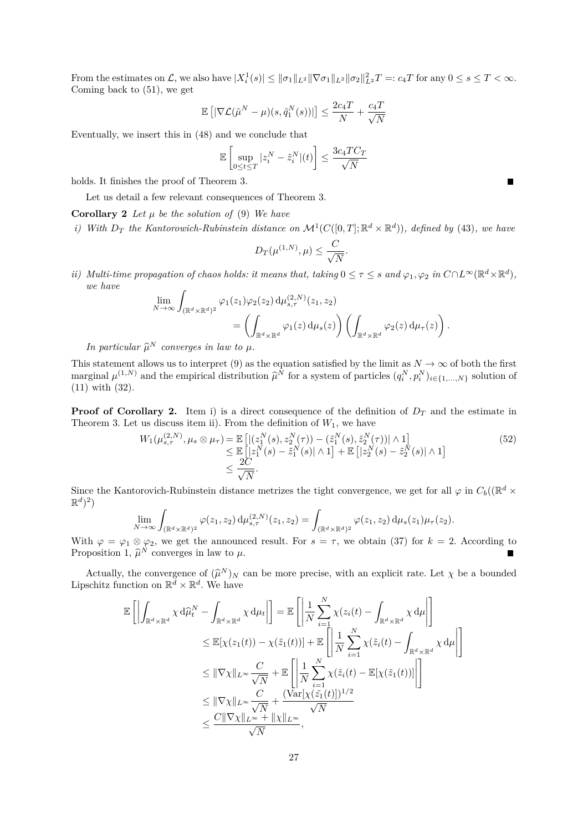From the estimates on L, we also have  $|X_i^1(s)| \le ||\sigma_1||_{L^2} ||\nabla \sigma_1||_{L^2} ||\sigma_2||_{L^2}^2 T =: c_4 T$  for any  $0 \le s \le T < \infty$ . Coming back to (51), we get

$$
\mathbb{E}\left[|\nabla \mathcal{L}(\tilde{\mu}^N - \mu)(s, \tilde{q}_1^N(s))|\right] \le \frac{2c_4T}{N} + \frac{c_4T}{\sqrt{N}}
$$

Eventually, we insert this in (48) and we conclude that

$$
\mathbb{E}\left[\sup_{0\leq t\leq T}|z_i^N-\tilde{z}_i^N|(t)\right]\leq \frac{3c_4TC_T}{\sqrt{N}}
$$

holds. It finishes the proof of Theorem 3.

Let us detail a few relevant consequences of Theorem 3.

**Corollary 2** *Let*  $\mu$  *be the solution of* (9) *We have* 

*i)* With  $D_T$  the Kantorowich-Rubinstein distance on  $\mathcal{M}^1(C([0,T]; \mathbb{R}^d \times \mathbb{R}^d))$ , defined by (43), we have

$$
D_T(\mu^{(1,N)}, \mu) \leq \frac{C}{\sqrt{N}}.
$$

*ii*) *Multi-time propagation of chaos holds: it means that, taking*  $0 \leq \tau \leq s$  and  $\varphi_1, \varphi_2$  *in*  $C \cap L^{\infty}(\mathbb{R}^d \times \mathbb{R}^d)$ , *we have*

$$
\lim_{N \to \infty} \int_{(\mathbb{R}^d \times \mathbb{R}^d)^2} \varphi_1(z_1) \varphi_2(z_2) d\mu_{s,\tau}^{(2,N)}(z_1, z_2)
$$
\n
$$
= \left( \int_{\mathbb{R}^d \times \mathbb{R}^d} \varphi_1(z) d\mu_s(z) \right) \left( \int_{\mathbb{R}^d \times \mathbb{R}^d} \varphi_2(z) d\mu_\tau(z) \right).
$$

*In particular*  $\widehat{\mu}^N$  *converges in law to*  $\mu$ *.* 

This statement allows us to interpret (9) as the equation satisfied by the limit as  $N \to \infty$  of both the first marginal  $\mu^{(1,N)}$  and the empirical distribution  $\widehat{\mu}^N$  for a system of particles  $(q_i^N, p_i^N)_{i \in \{1, ..., N\}}$  solution of (11) with (32) (11) with (32).

**Proof of Corollary 2.** Item i) is a direct consequence of the definition of  $D<sub>T</sub>$  and the estimate in Theorem 3. Let us discuss item ii). From the definition of  $W_1$ , we have

$$
W_{1}(\mu_{s,\tau}^{(2,N)}, \mu_{s} \otimes \mu_{\tau}) = \mathbb{E}\left[ |(z_{1}^{N}(s), z_{2}^{N}(\tau)) - (\tilde{z}_{1}^{N}(s), \tilde{z}_{2}^{N}(\tau))| \wedge 1 \right] \leq \mathbb{E}\left[ |z_{1}^{N}(s) - \tilde{z}_{1}^{N}(s)| \wedge 1 \right] + \mathbb{E}\left[ |z_{2}^{N}(s) - \tilde{z}_{2}^{N}(s)| \wedge 1 \right] \leq \frac{2C}{\sqrt{N}}.
$$
\n(52)

Since the Kantorovich-Rubinstein distance metrizes the tight convergence, we get for all  $\varphi$  in  $C_b((\mathbb{R}^d \times$  $\mathbb{R}^{d})^{2}$ 

$$
\lim_{N \to \infty} \int_{(\mathbb{R}^d \times \mathbb{R}^d)^2} \varphi(z_1, z_2) d\mu_{s,\tau}^{(2,N)}(z_1, z_2) = \int_{(\mathbb{R}^d \times \mathbb{R}^d)^2} \varphi(z_1, z_2) d\mu_s(z_1) \mu_{\tau}(z_2).
$$

With  $\varphi = \varphi_1 \otimes \varphi_2$ , we get the announced result. For  $s = \tau$ , we obtain (37) for  $k = 2$ . According to Proposition 1,  $\hat{\mu}^N$  converges in law to  $\mu$ .

Actually, the convergence of  $(\hat{\mu}^N)_N$  can be more precise, with an explicit rate. Let  $\chi$  be a bounded sobitz function on  $\mathbb{R}^d \times \mathbb{R}^d$  We have Lipschitz function on  $\mathbb{R}^d \times \mathbb{R}^d$ . We have

$$
\mathbb{E}\left[\left|\int_{\mathbb{R}^d \times \mathbb{R}^d} \chi \,d\widehat{\mu}_t^N - \int_{\mathbb{R}^d \times \mathbb{R}^d} \chi \,d\mu_t\right|\right] = \mathbb{E}\left[\left|\frac{1}{N} \sum_{i=1}^N \chi(z_i(t) - \int_{\mathbb{R}^d \times \mathbb{R}^d} \chi \,d\mu\right|\right]
$$
  
\n
$$
\leq \mathbb{E}[\chi(z_1(t)) - \chi(\tilde{z}_1(t))] + \mathbb{E}\left[\left|\frac{1}{N} \sum_{i=1}^N \chi(\tilde{z}_i(t) - \int_{\mathbb{R}^d \times \mathbb{R}^d} \chi \,d\mu\right|\right]
$$
  
\n
$$
\leq \|\nabla \chi\|_{L^\infty} \frac{C}{\sqrt{N}} + \mathbb{E}\left[\left|\frac{1}{N} \sum_{i=1}^N \chi(\tilde{z}_i(t) - \mathbb{E}[\chi(\tilde{z}_1(t))]]\right|\right]
$$
  
\n
$$
\leq \|\nabla \chi\|_{L^\infty} \frac{C}{\sqrt{N}} + \frac{(\text{Var}[\chi(\tilde{z}_1(t)])^{1/2}}{\sqrt{N}}
$$
  
\n
$$
\leq \frac{C\|\nabla \chi\|_{L^\infty} + \|\chi\|_{L^\infty}}{\sqrt{N}},
$$

 $\blacksquare$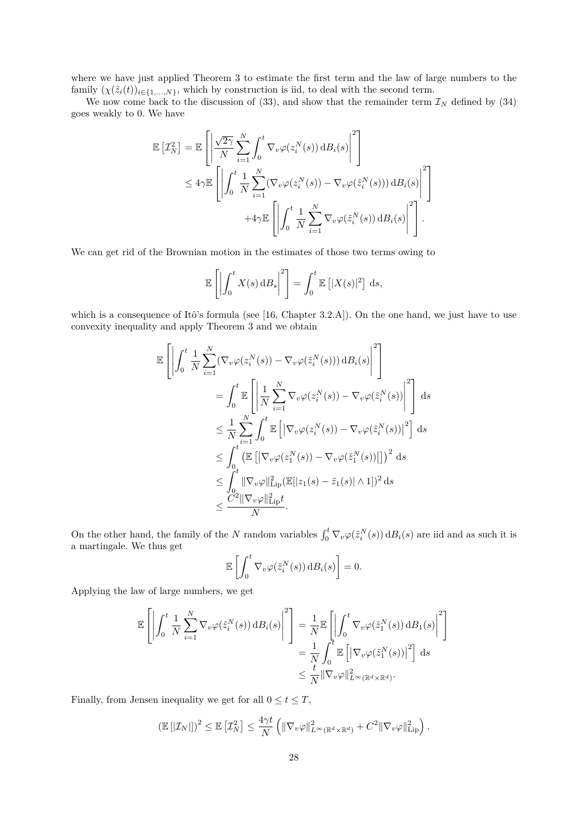where we have just applied Theorem 3 to estimate the first term and the law of large numbers to the family  $(\chi(\tilde{z}_i(t))_{i\in\{1,\ldots,N\}}$ , which by construction is iid, to deal with the second term.

We now come back to the discussion of  $(33)$ , and show that the remainder term  $\mathcal{I}_N$  defined by  $(34)$ goes weakly to 0. We have

$$
\mathbb{E}\left[\mathcal{I}_{N}^{2}\right] = \mathbb{E}\left[\left|\frac{\sqrt{2\gamma}}{N}\sum_{i=1}^{N}\int_{0}^{t}\nabla_{v}\varphi(z_{i}^{N}(s))\,\mathrm{d}B_{i}(s)\right|^{2}\right] \n\leq 4\gamma \mathbb{E}\left[\left|\int_{0}^{t}\frac{1}{N}\sum_{i=1}^{N}(\nabla_{v}\varphi(z_{i}^{N}(s)) - \nabla_{v}\varphi(\tilde{z}_{i}^{N}(s)))\,\mathrm{d}B_{i}(s)\right|^{2}\right] \n+4\gamma \mathbb{E}\left[\left|\int_{0}^{t}\frac{1}{N}\sum_{i=1}^{N}\nabla_{v}\varphi(\tilde{z}_{i}^{N}(s))\,\mathrm{d}B_{i}(s)\right|^{2}\right].
$$

We can get rid of the Brownian motion in the estimates of those two terms owing to

$$
\mathbb{E}\left[\left|\int_0^t X(s) \, \mathrm{d}B_s\right|^2\right] = \int_0^t \mathbb{E}\left[|X(s)|^2\right] \, \mathrm{d}s,
$$

which is a consequence of Itô's formula (see [16, Chapter 3.2.A]). On the one hand, we just have to use convexity inequality and apply Theorem 3 and we obtain

$$
\mathbb{E}\left[\left|\int_{0}^{t} \frac{1}{N} \sum_{i=1}^{N} (\nabla_{v} \varphi(z_{i}^{N}(s)) - \nabla_{v} \varphi(\tilde{z}_{i}^{N}(s))) d B_{i}(s)\right|^{2}\right]
$$
\n
$$
= \int_{0}^{t} \mathbb{E}\left[\left|\frac{1}{N} \sum_{i=1}^{N} \nabla_{v} \varphi(z_{i}^{N}(s)) - \nabla_{v} \varphi(\tilde{z}_{i}^{N}(s))\right|^{2}\right] ds
$$
\n
$$
\leq \frac{1}{N} \sum_{i=1}^{N} \int_{0}^{t} \mathbb{E}\left[\left|\nabla_{v} \varphi(z_{i}^{N}(s)) - \nabla_{v} \varphi(\tilde{z}_{i}^{N}(s))\right|^{2}\right] ds
$$
\n
$$
\leq \int_{0}^{t} \left(\mathbb{E}\left[\left|\nabla_{v} \varphi(z_{i}^{N}(s)) - \nabla_{v} \varphi(\tilde{z}_{i}^{N}(s))\right|\right]\right)^{2} ds
$$
\n
$$
\leq \int_{0}^{t} \|\nabla_{v} \varphi\|_{\text{Lip}}^{2} (\mathbb{E}[|z_{1}(s) - \tilde{z}_{1}(s)| \wedge 1])^{2} ds
$$
\n
$$
\leq \frac{C^{2} \|\nabla_{v} \varphi\|_{\text{Lip}}^{2} t}{N}.
$$

On the other hand, the family of the *N* random variables  $\int_0^t \nabla_v \varphi(\tilde{z}_i^N(s)) dB_i(s)$  are iid and as such it is a martingale. We thus get

$$
\mathbb{E}\left[\int_0^t \nabla_v \varphi(\tilde{z}_i^N(s))\,\mathrm{d}B_i(s)\right] = 0.
$$

Applying the law of large numbers, we get

$$
\mathbb{E}\left[\left|\int_0^t \frac{1}{N} \sum_{i=1}^N \nabla_v \varphi(\tilde{z}_i^N(s)) \,d B_i(s)\right|^2\right] = \frac{1}{N} \mathbb{E}\left[\left|\int_0^t \nabla_v \varphi(\tilde{z}_1^N(s)) \,d B_1(s)\right|^2\right]
$$
  

$$
= \frac{1}{N} \int_0^t \mathbb{E}\left[\left|\nabla_v \varphi(\tilde{z}_1^N(s))\right|^2\right] \,ds
$$
  

$$
\leq \frac{t}{N} \|\nabla_v \varphi\|_{L^\infty(\mathbb{R}^d \times \mathbb{R}^d)}^2.
$$

Finally, from Jensen inequality we get for all  $0 \le t \le T$ ,

$$
\left(\mathbb{E}\left[\left|\mathcal{I}_N\right|\right]\right)^2 \leq \mathbb{E}\left[\mathcal{I}_N^2\right] \leq \frac{4\gamma t}{N} \left(\|\nabla_v \varphi\|_{L^\infty(\mathbb{R}^d \times \mathbb{R}^d)}^2 + C^2 \|\nabla_v \varphi\|_{\text{Lip}}^2\right).
$$